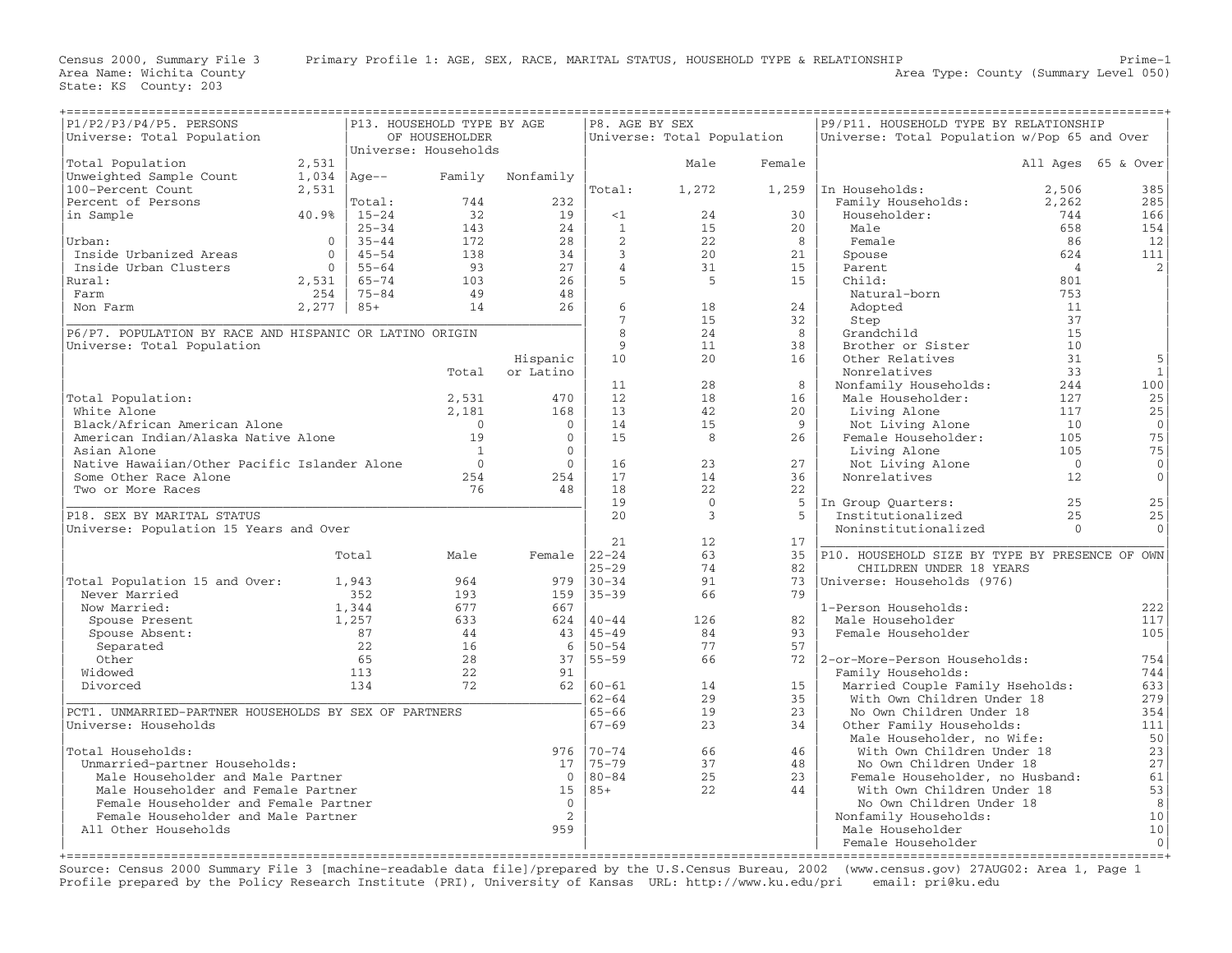| P1/P2/P3/P4/P5. PERSONS<br>P13. HOUSEHOLD TYPE BY AGE                    |          |           |                      |                  |                   | P8. AGE BY SEX<br>P9/P11. HOUSEHOLD TYPE BY RELATIONSHIP |             |                                                                           |                |                    |
|--------------------------------------------------------------------------|----------|-----------|----------------------|------------------|-------------------|----------------------------------------------------------|-------------|---------------------------------------------------------------------------|----------------|--------------------|
| Universe: Total Population                                               |          |           | OF HOUSEHOLDER       |                  |                   | Universe: Total Population                               |             | Universe: Total Population w/Pop 65 and Over                              |                |                    |
|                                                                          |          |           | Universe: Households |                  |                   |                                                          |             |                                                                           |                |                    |
| Total Population                                                         | 2,531    |           |                      |                  |                   | Male                                                     | Female      |                                                                           |                | All Ages 65 & Over |
| Unweighted Sample Count                                                  | 1,034    | $ Aqe--$  | Family               | Nonfamily        |                   |                                                          |             |                                                                           |                |                    |
| 100-Percent Count                                                        | 2,531    |           |                      |                  | Total:            | 1,272                                                    |             | $1,259$ In Households:                                                    | 2,506          | 385                |
| Percent of Persons                                                       |          | Total:    | 744                  | 232              |                   |                                                          |             | Family Households:                                                        | 2,262          | 285                |
| in Sample                                                                | 40.9%    | $15 - 24$ | 32                   | 19               | <1                | 24                                                       | 30          | Householder:                                                              | 744            | 166                |
|                                                                          |          | $25 - 34$ | 143                  | 24               | 1                 | 15                                                       | 20          | Male                                                                      | 658            | 154                |
| Urban:                                                                   | $\circ$  | $35 - 44$ | 172                  | 28               | 2                 | 22                                                       | 8           | Female                                                                    | 86             | 12                 |
| Inside Urbanized Areas                                                   | $\circ$  | $45 - 54$ | 138                  | 34               | $\overline{3}$    | 20                                                       | 21          | Spouse                                                                    | 624            | 111                |
| Inside Urban Clusters                                                    | $\Omega$ | $55 - 64$ | 93                   | 27               | $\overline{4}$    | 31                                                       | 15          | Parent                                                                    | $\overline{4}$ | 2                  |
| Rural:                                                                   | 2,531    | $65 - 74$ | 103                  | 26               | 5                 | 5                                                        | 15          | Child:                                                                    | 801            |                    |
| Farm                                                                     | 254      | $75 - 84$ | 49<br>14             | 48<br>26         | 6                 |                                                          | 24          | Natural-born                                                              | 753            |                    |
| Non Farm                                                                 | 2,277    | $85+$     |                      |                  | $7\phantom{.0}$   | 18<br>1.5                                                | 32          | Adopted                                                                   | 11<br>37       |                    |
| P6/P7. POPULATION BY RACE AND HISPANIC OR LATINO ORIGIN                  |          |           |                      |                  | 8                 | 24                                                       | 8           | Step<br>Grandchild                                                        | 15             |                    |
| Universe: Total Population                                               |          |           |                      |                  | 9                 | 11                                                       | 38          | Brother or Sister                                                         | 10             |                    |
|                                                                          |          |           |                      | Hispanic         | 10                | 20                                                       | 16          | Other Relatives                                                           | 31             | 5                  |
|                                                                          |          |           | Total                | or Latino        |                   |                                                          |             | Nonrelatives                                                              | 33             | $\mathbf{1}$       |
|                                                                          |          |           |                      |                  | 11                | 28                                                       | 8           | Nonfamily Households:                                                     | 244            | 100                |
| Total Population:                                                        |          |           | 2,531                | 470              | 12                | 18                                                       | 16          | Male Householder:                                                         | 127            | 25                 |
| White Alone                                                              |          |           | 2,181                | 168              | 13                | 42                                                       | 20          | Living Alone                                                              | 117            | 25                 |
| Black/African American Alone                                             |          |           | $\overline{0}$       | $\mathbf{0}$     | 14                | 15                                                       | 9           | Not Living Alone                                                          | 10             | $\mathbf{0}$       |
| American Indian/Alaska Native Alone                                      |          |           | 19                   | $\mathbf{0}$     | 15                | 8                                                        | 26          | Female Householder:                                                       | 105            | 75                 |
| Asian Alone                                                              |          |           | $\overline{1}$       | $\Omega$         |                   |                                                          |             | Living Alone                                                              | 105            | 75                 |
| Native Hawaiian/Other Pacific Islander Alone                             |          |           | $\Omega$             | $\mathbf{0}$     | 16                | 23                                                       | 27          | Not Living Alone                                                          | $\overline{0}$ | 0                  |
| Some Other Race Alone                                                    |          |           | 254                  | 254              | 17                | 14                                                       | 36          | Nonrelatives                                                              | 12             | $\mathbf{0}$       |
| Two or More Races                                                        |          |           | 76                   | 48               | 18                | 22                                                       | 22          |                                                                           |                |                    |
|                                                                          |          |           |                      |                  | 19                | $\overline{0}$                                           | 5           | In Group Quarters:                                                        | 25             | 25                 |
| P18. SEX BY MARITAL STATUS                                               |          |           |                      |                  | 2.0               | $\overline{3}$                                           | $5^{\circ}$ | Institutionalized                                                         | 2.5            | 25                 |
| Universe: Population 15 Years and Over                                   |          |           |                      |                  |                   |                                                          |             | Noninstitutionalized                                                      | $\Omega$       | $\Omega$           |
|                                                                          |          |           |                      |                  | 21                | 12                                                       | 17          |                                                                           |                |                    |
|                                                                          |          | Total     | Male                 | Female $ 22-24 $ | $25 - 29$         | 63<br>74                                                 | 35<br>82    | P10. HOUSEHOLD SIZE BY TYPE BY PRESENCE OF OWN<br>CHILDREN UNDER 18 YEARS |                |                    |
| Total Population 15 and Over:                                            |          | 1,943     | 964                  |                  | $979$   30-34     | 91                                                       | 73          | Universe: Households (976)                                                |                |                    |
| Never Married                                                            |          | 352       | 193                  |                  | $159$   35-39     | 66                                                       | 79          |                                                                           |                |                    |
| Now Married:                                                             |          | 1,344     | 677                  | 667              |                   |                                                          |             | 1-Person Households:                                                      |                | 222                |
| Spouse Present                                                           |          | 1,257     | 633                  |                  | $624$  40-44      | 126                                                      | 82          | Male Householder                                                          |                | 117                |
| Spouse Absent:                                                           |          | 87        | 44                   |                  | $43 \mid 45 - 49$ | 84                                                       | 93          | Female Householder                                                        |                | 105                |
| Separated                                                                |          | 22        | 16                   |                  | $6   50 - 54$     | 77                                                       | 57          |                                                                           |                |                    |
| Other                                                                    |          | 65        | 28                   |                  | $37   55 - 59$    | 66                                                       |             | 72   2-or-More-Person Households:                                         |                | 754                |
| Widowed                                                                  |          | 113       | 22                   | 91               |                   |                                                          |             | Family Households:                                                        |                | 744                |
| Divorced                                                                 |          | 134       | 72                   |                  | $62   60 - 61$    | 14                                                       | 15          | Married Couple Family Hseholds:                                           |                | 633                |
|                                                                          |          |           |                      |                  | $62 - 64$         | 29                                                       | 35          | With Own Children Under 18                                                |                | 279                |
| PCT1. UNMARRIED-PARTNER HOUSEHOLDS BY SEX OF PARTNERS                    |          |           |                      |                  | $65 - 66$         | 19                                                       | 23          | No Own Children Under 18                                                  |                | 354                |
| Universe: Households                                                     |          |           |                      |                  | $67 - 69$         | 23                                                       | 34          | Other Family Households:                                                  |                | 111                |
|                                                                          |          |           |                      |                  |                   |                                                          |             | Male Householder, no Wife:                                                |                | 50                 |
| Total Households:                                                        |          |           |                      |                  | 976 70-74         | 66                                                       | 46          | With Own Children Under 18                                                |                | 23                 |
| Unmarried-partner Households:                                            |          |           |                      | 17               | 75-79             | 37                                                       | 48          | No Own Children Under 18                                                  |                | 27                 |
| Male Householder and Male Partner<br>Male Householder and Female Partner |          |           |                      | $\Omega$<br>15   | 80-84<br>185+     | 25<br>22                                                 | 23<br>44    | Female Householder, no Husband:<br>With Own Children Under 18             |                | 61<br>53           |
| Female Householder and Female Partner                                    |          |           |                      | $\overline{0}$   |                   |                                                          |             | No Own Children Under 18                                                  |                | 8                  |
| Female Householder and Male Partner                                      |          |           |                      | 2                |                   |                                                          |             | Nonfamily Households:                                                     |                | 10                 |
| All Other Households                                                     |          |           |                      | 959              |                   |                                                          |             | Male Householder                                                          |                | 10                 |
|                                                                          |          |           |                      |                  |                   |                                                          |             | Female Householder                                                        |                | $\mathbf{0}$       |
|                                                                          |          |           |                      |                  |                   |                                                          |             |                                                                           |                |                    |

Source: Census 2000 Summary File 3 [machine−readable data file]/prepared by the U.S.Census Bureau, 2002 (www.census.gov) 27AUG02: Area 1, Page 1 Profile prepared by the Policy Research Institute (PRI), University of Kansas URL: http://www.ku.edu/pri email: pri@ku.edu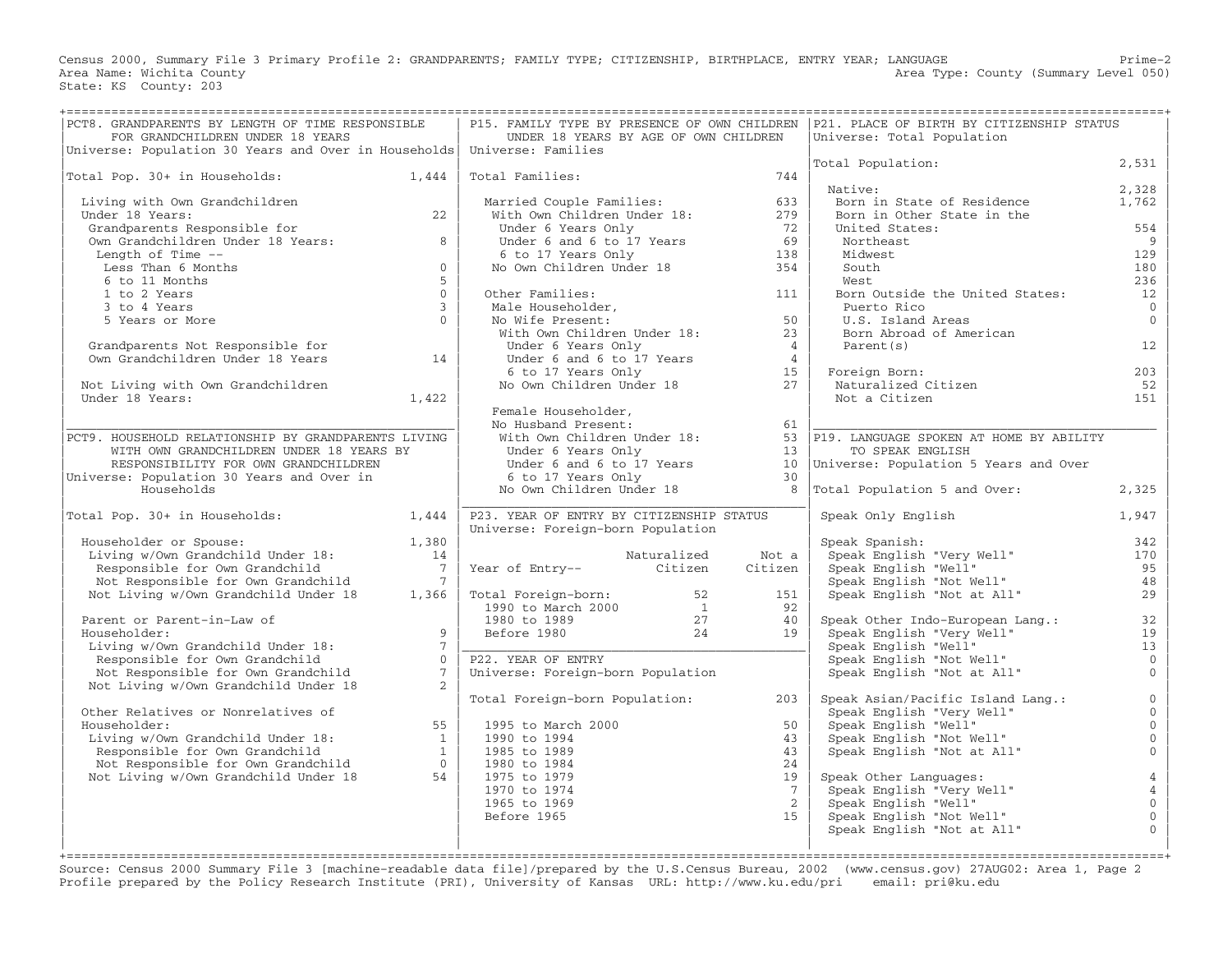Census 2000, Summary File 3 Primary Profile 2: GRANDPARENTS; FAMILY TYPE; CITIZENSHIP, BIRTHPLACE, ENTRY YEAR; LANGUAGE Prime−2 Area Name: Wichita County 1999 (Summary Level 050) Area Type: County (Summary Level 050) State: KS County: 203

| PCT8. GRANDPARENTS BY LENGTH OF TIME RESPONSIBLE<br>FOR GRANDCHILDREN UNDER 18 YEARS                                                                              |                | UNDER 18 YEARS BY AGE OF OWN CHILDREN                                                   |             |                 | P15. FAMILY TYPE BY PRESENCE OF OWN CHILDREN   P21. PLACE OF BIRTH BY CITIZENSHIP STATUS<br>Universe: Total Population |                                  |
|-------------------------------------------------------------------------------------------------------------------------------------------------------------------|----------------|-----------------------------------------------------------------------------------------|-------------|-----------------|------------------------------------------------------------------------------------------------------------------------|----------------------------------|
| Universe: Population 30 Years and Over in Households   Universe: Families                                                                                         |                |                                                                                         |             |                 |                                                                                                                        |                                  |
|                                                                                                                                                                   |                |                                                                                         |             |                 | Total Population:                                                                                                      | 2,531                            |
| Total Pop. 30+ in Households: 1,444                                                                                                                               |                | Total Families:                                                                         |             | 744             |                                                                                                                        |                                  |
|                                                                                                                                                                   |                |                                                                                         |             |                 | Native:                                                                                                                | 2,328                            |
| Living with Own Grandchildren                                                                                                                                     |                | Married Couple Families:                                                                |             | 633             | Born in State of Residence                                                                                             | 1,762                            |
| Under 18 Years:                                                                                                                                                   | 22             | With Own Children Under 18:                                                             |             | 279             | Born in Other State in the                                                                                             |                                  |
| Grandparents Responsible for                                                                                                                                      | 8              | Under 6 Years Only                                                                      |             | 72<br>69        | United States:<br>Northeast                                                                                            | 554                              |
| Own Grandchildren Under 18 Years:                                                                                                                                 |                | Under $\frac{1}{2}$ and $\frac{1}{2}$ to 17 Years                                       |             |                 |                                                                                                                        | 9<br>129                         |
| Length of Time --<br>Less Than 6 Months                                                                                                                           | $\Omega$       | 6 to 17 Years Only<br>6 to 17 Years Only<br>No Own Children Under 18                    |             | 138<br>354      | Midwest<br>South                                                                                                       | 180                              |
| 6 to 11 Months                                                                                                                                                    | 5              |                                                                                         |             |                 | West                                                                                                                   | 236                              |
| 1 to 2 Years                                                                                                                                                      | $\Omega$       | Other Families:                                                                         |             | 111             | Born Outside the United States:                                                                                        | 12                               |
| 3 to 4 Years                                                                                                                                                      | $\mathcal{E}$  | Other Families:<br>Male Householder,<br>No Wife Present:<br>With Own Children Under 18: |             |                 | Puerto Rico                                                                                                            | $\overline{0}$                   |
| 5 Years or More                                                                                                                                                   | $\Omega$       |                                                                                         |             | 50              | U.S. Island Areas                                                                                                      | $\Omega$                         |
|                                                                                                                                                                   |                |                                                                                         |             | 23              | Born Abroad of American                                                                                                |                                  |
|                                                                                                                                                                   |                | Under 6 Years Only                                                                      |             | $\overline{4}$  | Parent(s)                                                                                                              | 12                               |
| Grandparents Not Responsible for<br>Own Grandchildren Under 18 Years 14                                                                                           |                |                                                                                         |             | $\overline{4}$  |                                                                                                                        |                                  |
|                                                                                                                                                                   |                |                                                                                         |             | 15              | Foreign Born:                                                                                                          | 203                              |
| Not Living with Own Grandchildren                                                                                                                                 |                | Under 6 and 6 to 17 Years<br>6 to 17 Years Only<br>No Own Children Under 18             |             | 27              | Naturalized Citizen                                                                                                    | 52                               |
| Under 18 Years:                                                                                                                                                   | 1,422          |                                                                                         |             |                 | Not a Citizen                                                                                                          | 151                              |
|                                                                                                                                                                   |                | Female Householder,                                                                     |             |                 |                                                                                                                        |                                  |
|                                                                                                                                                                   |                | No Husband Present:                                                                     |             | 61              |                                                                                                                        |                                  |
| PCT9. HOUSEHOLD RELATIONSHIP BY GRANDPARENTS LIVING                                                                                                               |                | With Own Children Under $18:$                                                           |             |                 | 53 P19. LANGUAGE SPOKEN AT HOME BY ABILITY                                                                             |                                  |
| WITH OWN GRANDCHILDREN UNDER 18 YEARS BY                                                                                                                          |                | Under 6 Years Only                                                                      |             | 13              | TO SPEAK ENGLISH                                                                                                       |                                  |
| RESPONSIBILITY FOR OWN GRANDCHILDREN                                                                                                                              |                | Under 6 and 6 to 17 Years                                                               |             |                 | 10   Universe: Population 5 Years and Over                                                                             |                                  |
| Universe: Population 30 Years and Over in                                                                                                                         |                | 6 to 17 Years Only                                                                      |             | 30              |                                                                                                                        |                                  |
| Households                                                                                                                                                        |                | No Own Children Under 18                                                                |             | 8               | Total Population 5 and Over:                                                                                           | 2,325                            |
|                                                                                                                                                                   |                |                                                                                         |             |                 |                                                                                                                        |                                  |
| Total Pop. 30+ in Households:                                                                                                                                     | 1,444          | P23. YEAR OF ENTRY BY CITIZENSHIP STATUS                                                |             |                 | Speak Only English                                                                                                     | 1,947                            |
|                                                                                                                                                                   |                | Universe: Foreign-born Population                                                       |             |                 |                                                                                                                        |                                  |
| Householder or Spouse:                                                                                                                                            | 1,380          |                                                                                         |             |                 | Speak Spanish:                                                                                                         | 342                              |
| Living w/Own Grandchild Under 18:                                                                                                                                 | 14             |                                                                                         | Naturalized | Not a           | Speak English "Very Well"<br>Speak English "Very Well"<br>Speak English "Well"                                         | 170                              |
| Responsible for Own Grandchild                                                                                                                                    | $\overline{7}$ | Naturalized<br>Citizen Citizen                                                          |             | Citizen         |                                                                                                                        | 95                               |
| Not Responsible for Own Grandchild                                                                                                                                | $\overline{7}$ |                                                                                         |             |                 | Speak English "Not Well"                                                                                               | 48                               |
| Not Living w/Own Grandchild Under 18                                                                                                                              | 1,366          |                                                                                         |             | 151             | Speak English "Not at All"                                                                                             | 29                               |
|                                                                                                                                                                   |                |                                                                                         |             | 92              |                                                                                                                        |                                  |
| Parent or Parent-in-Law of                                                                                                                                        |                | Total Foreign-born: 52<br>1990 to March 2000 1<br>1980 to 1989 27<br>Before 1980 24     |             | 40              | Speak Other Indo-European Lang.:                                                                                       | 32                               |
| Householder:                                                                                                                                                      | 9              |                                                                                         |             | 19              | Speak English "Very Well"                                                                                              | 19                               |
| Living w/Own Grandchild Under 18:                                                                                                                                 | $7^{\circ}$    |                                                                                         |             |                 | Speak English "Well"<br>Speak English "Not Well"<br>Speak English "Not Well"<br>Speak Fried:                           | 13                               |
| Responsible for Own Grandchild                                                                                                                                    | $\Omega$       | P22. YEAR OF ENTRY                                                                      |             |                 |                                                                                                                        | $\overline{0}$                   |
| Not Responsible for Own Grandchild                                                                                                                                | $7^{\circ}$    | Universe: Foreign-born Population                                                       |             |                 | Speak English "Not at All"                                                                                             | $\Omega$                         |
| Not Living w/Own Grandchild Under 18                                                                                                                              |                |                                                                                         |             |                 |                                                                                                                        |                                  |
|                                                                                                                                                                   |                | Total Foreign-born Population:                                                          |             | 203             | Speak Asian/Pacific Island Lang.:                                                                                      | $\mathbf{0}$                     |
| Other Relatives or Nonrelatives of                                                                                                                                | 55             |                                                                                         |             |                 | Speak English "Very Well"                                                                                              | $\overline{0}$<br>$\Omega$       |
| Householder:                                                                                                                                                      |                | 1995 to March 2000                                                                      |             | 50              | ореак English "Well"<br>Speak English "Not Well"<br>Speak English "I                                                   |                                  |
|                                                                                                                                                                   |                | 1990 to 1994                                                                            |             | 43              |                                                                                                                        | $\mathbf 0$                      |
| Householder:<br>Living w/Own Grandchild Under 18:<br>Responsible for Own Grandchild 1<br>Not Responsible for Own Grandchild 1<br>1<br>1<br>1<br>1<br>1<br>1<br>54 |                | 1985 to 1989<br>1980 to 1984                                                            |             | 43<br>24        | Speak English "Not at All"                                                                                             | $\mathbf{0}$                     |
|                                                                                                                                                                   |                | 1975 to 1979                                                                            |             | 19              |                                                                                                                        |                                  |
|                                                                                                                                                                   |                | 1970 to 1974                                                                            |             | $7\phantom{.0}$ | Speak Other Languages:                                                                                                 | $\overline{4}$<br>$\overline{4}$ |
|                                                                                                                                                                   |                | 1965 to 1969                                                                            |             | $2^{1}$         | Speak English "Very Well"<br>Speak English "Well"                                                                      | $\mathbf{0}$                     |
|                                                                                                                                                                   |                | Before 1965                                                                             |             | 15              | Speak English "Not Well"                                                                                               | $\mathbf 0$                      |
|                                                                                                                                                                   |                |                                                                                         |             |                 | Speak English "Not at All"                                                                                             | $\mathbf{O}$                     |
|                                                                                                                                                                   |                |                                                                                         |             |                 |                                                                                                                        |                                  |
|                                                                                                                                                                   |                |                                                                                         |             |                 |                                                                                                                        |                                  |

Source: Census 2000 Summary File 3 [machine−readable data file]/prepared by the U.S.Census Bureau, 2002 (www.census.gov) 27AUG02: Area 1, Page 2 Profile prepared by the Policy Research Institute (PRI), University of Kansas URL: http://www.ku.edu/pri email: pri@ku.edu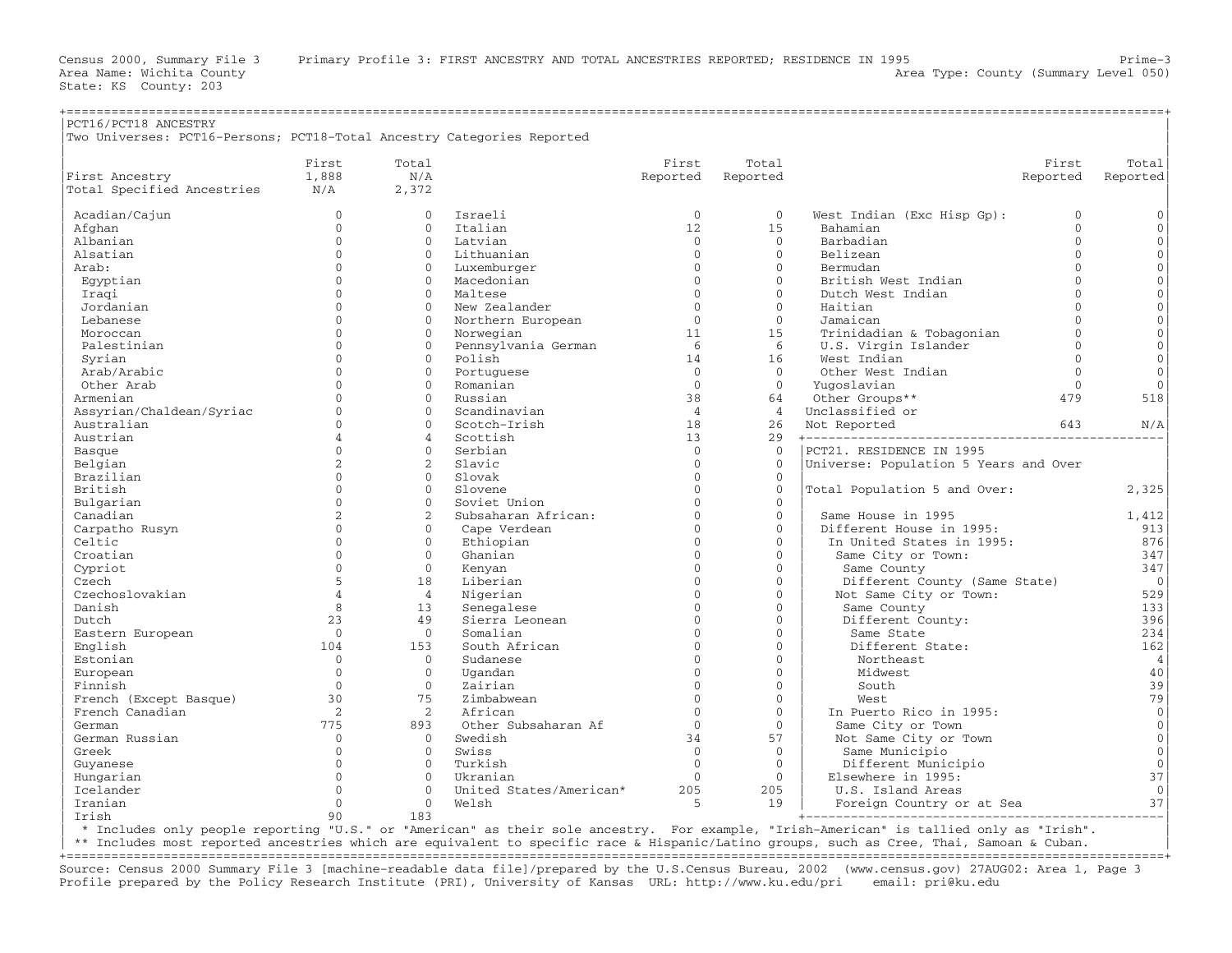Area Name: Wichita County  $\blacksquare$  Area Type: County (Summary Level 050)

| PCT16/PCT18 ANCESTRY<br>Two Universes: PCT16-Persons; PCT18-Total Ancestry Categories Reported |                |                |                         |                |                |                                       |             |                |
|------------------------------------------------------------------------------------------------|----------------|----------------|-------------------------|----------------|----------------|---------------------------------------|-------------|----------------|
|                                                                                                | First          | Total          |                         | First          | Total          |                                       | First       | Total          |
| First Ancestry                                                                                 | 1,888          | N/A            |                         | Reported       | Reported       |                                       | Reported    | Reported       |
| Total Specified Ancestries                                                                     | N/A            | 2,372          |                         |                |                |                                       |             |                |
| Acadian/Cajun                                                                                  | $\mathbf{0}$   | $\Omega$       | Israeli                 | $\mathbf{0}$   | $\Omega$       | West Indian (Exc Hisp Gp):            | $\mathbf 0$ | $\mathbf{0}$   |
| Afghan                                                                                         | $\Omega$       | $\Omega$       | Italian                 | 12             | 15             | Bahamian                              | $\Omega$    | $\mathbf{0}$   |
| Albanian                                                                                       | $\mathbf{0}$   | $\mathbf{0}$   | Latvian                 | $\overline{0}$ | $\Omega$       | Barbadian                             | $\Omega$    | $\mathbf{0}$   |
| Alsatian                                                                                       | $\mathbf{0}$   | $\Omega$       | Lithuanian              | $\mathbf{0}$   | $\Omega$       | Belizean                              | $\Omega$    | $\mathbf 0$    |
| Arab:                                                                                          | $\Omega$       | $\Omega$       | Luxemburger             | $\Omega$       | $\Omega$       | Bermudan                              | $\cap$      | $\mathbf{0}$   |
| Egyptian                                                                                       | $\Omega$       | $\Omega$       | Macedonian              | $\Omega$       | $\Omega$       | British West Indian                   | $\Omega$    | $\mathbf{0}$   |
| Iraqi                                                                                          | $\Omega$       | $\Omega$       | Maltese                 | $\Omega$       | $\Omega$       | Dutch West Indian                     | $\Omega$    | $\mathbf{0}$   |
| Jordanian                                                                                      | $\Omega$       | $\Omega$       | New Zealander           | $\Omega$       | $\Omega$       | Haitian                               | $\Omega$    | $\mathbf 0$    |
| Lebanese                                                                                       | $\Omega$       | $\Omega$       | Northern European       | $\Omega$       | $\Omega$       | Jamaican                              | $\cap$      | $\mathbf{0}$   |
| Moroccan                                                                                       | $\Omega$       | $\mathbf{0}$   | Norwegian               | 11             | 15             | Trinidadian & Tobagonian              | $\Omega$    | $\mathbf{0}$   |
| Palestinian                                                                                    | $\Omega$       | $\Omega$       | Pennsylvania German     | 6              | 6              | U.S. Virgin Islander                  | $\Omega$    | $\mathbf{0}$   |
| Syrian                                                                                         | $\Omega$       | $\Omega$       | Polish                  | 14             | 16             | West Indian                           | $\Omega$    | $\mathbf 0$    |
| Arab/Arabic                                                                                    | $\Omega$       | $\Omega$       | Portuguese              | $\Omega$       | $\Omega$       | Other West Indian                     | $\Omega$    | $\Omega$       |
| Other Arab                                                                                     | $\Omega$       | $\Omega$       | Romanian                | $\Omega$       | $\Omega$       | Yuqoslavian                           | $\Omega$    | $\Omega$       |
| Armenian                                                                                       | $\Omega$       | $\Omega$       | Russian                 | 38             | 64             | Other Groups**                        | 479         | 518            |
| Assyrian/Chaldean/Syriac                                                                       | $\Omega$       | $\Omega$       | Scandinavian            | $\overline{4}$ | $\overline{4}$ | Unclassified or                       |             |                |
| Australian                                                                                     | $\Omega$       | $\Omega$       | Scotch-Irish            | 18             | 2.6            | Not Reported                          | 643         | N/A            |
| Austrian                                                                                       | $\overline{4}$ | $\overline{4}$ | Scottish                | 13             | 29             |                                       |             |                |
| Basque                                                                                         | $\Omega$       | $\Omega$       | Serbian                 | $\Omega$       | $\Omega$       | PCT21. RESIDENCE IN 1995              |             |                |
| Belgian                                                                                        | 2              | 2              | Slavic                  | $\Omega$       | $\Omega$       | Universe: Population 5 Years and Over |             |                |
| Brazilian                                                                                      | $\Omega$       | $\Omega$       | Slovak                  | $\Omega$       | $\Omega$       |                                       |             |                |
| British                                                                                        | $\Omega$       | $\mathbf{0}$   | Slovene                 | $\Omega$       | $\Omega$       | Total Population 5 and Over:          |             | 2,325          |
| Bulgarian                                                                                      | $\mathbf{0}$   | $\Omega$       | Soviet Union            | $\Omega$       | $\mathbf{0}$   |                                       |             |                |
| Canadian                                                                                       | 2              | 2              | Subsaharan African:     | $\Omega$       | $\Omega$       | Same House in 1995                    |             | 1,412          |
| Carpatho Rusyn                                                                                 | $\mathbf{0}$   | $\mathbf{0}$   | Cape Verdean            | $\Omega$       | $\Omega$       | Different House in 1995:              |             | 913            |
| Celtic                                                                                         | $\Omega$       | $\Omega$       | Ethiopian               | $\Omega$       | $\Omega$       | In United States in 1995:             |             | 876            |
| Croatian                                                                                       | $\Omega$       | $\mathbf{0}$   | Ghanian                 | $\Omega$       | $\Omega$       | Same City or Town:                    |             | 347            |
| Cypriot                                                                                        | $\Omega$       | $\Omega$       | Kenyan                  | $\Omega$       | $\Omega$       | Same County                           |             | 347            |
| Czech                                                                                          | 5              | 18             | Liberian                | $\Omega$       | $\Omega$       | Different County (Same State)         |             | $\overline{0}$ |
| Czechoslovakian                                                                                | $\overline{4}$ | $\overline{4}$ | Nigerian                | $\Omega$       | $\Omega$       | Not Same City or Town:                |             | 529            |
| Danish                                                                                         | 8              | 13             | Senegalese              | $\Omega$       | $\mathbf{0}$   | Same County                           |             | 133            |
| Dutch                                                                                          | 23             | 49             | Sierra Leonean          | $\Omega$       | $\Omega$       | Different County:                     |             | 396            |
| Eastern European                                                                               | $\overline{0}$ | $\mathbf{0}$   | Somalian                | $\Omega$       | $\mathbf{0}$   | Same State                            |             | 234            |
| English                                                                                        | 104            | 153            | South African           | $\Omega$       | $\Omega$       | Different State:                      |             | 162            |
| Estonian                                                                                       | $\mathbf{0}$   | $\mathbf{0}$   | Sudanese                | $\Omega$       | $\Omega$       | Northeast                             |             | $\overline{4}$ |
| European                                                                                       | $\Omega$       | $\Omega$       | Ugandan                 | $\Omega$       | $\Omega$       | Midwest                               |             | 40             |
| Finnish                                                                                        | $\Omega$       | $\Omega$       | Zairian                 | $\Omega$       | $\Omega$       | South                                 |             | 39             |
| French (Except Basque)                                                                         | 30             | 75             | Zimbabwean              | $\Omega$       | $\Omega$       | West                                  |             | 79             |
| French Canadian                                                                                | 2              | 2              | African                 | $\Omega$       | $\Omega$       | In Puerto Rico in 1995:               |             | $\mathbf 0$    |
| German                                                                                         | 775            | 893            | Other Subsaharan Af     | $\Omega$       | $\mathbf{0}$   | Same City or Town                     |             | $\mathbb O$    |
| German Russian                                                                                 | $\mathbf{0}$   | $\mathbf{0}$   | Swedish                 | 34             | 57             | Not Same City or Town                 |             | $\mathbf 0$    |
| Greek                                                                                          | $\mathbf{0}$   | $\Omega$       | Swiss                   | $\Omega$       | $\mathbf{0}$   | Same Municipio                        |             | $\mathbb O$    |
| Guyanese                                                                                       | $\Omega$       | $\Omega$       | Turkish                 | $\Omega$       | $\Omega$       | Different Municipio                   |             | $\mathbf{0}$   |
| Hungarian                                                                                      | $\Omega$       | $\Omega$       | Ukranian                | $\mathbf{0}$   | $\mathbf{0}$   | Elsewhere in 1995:                    |             | 37             |
| Icelander                                                                                      | $\Omega$       | $\Omega$       | United States/American* | 205            | 205            | U.S. Island Areas                     |             | $\Omega$       |
| Iranian                                                                                        | $\Omega$       | $\Omega$       | Welsh                   | 5              | 19             | Foreign Country or at Sea             |             | 37             |
| Irish                                                                                          | 90             | 183            |                         |                |                |                                       |             |                |

| \* Includes only people reporting "U.S." or "American" as their sole ancestry. For example, "Irish−American" is tallied only as "Irish". |

| \*\* Includes most reported ancestries which are equivalent to specific race & Hispanic/Latino groups, such as Cree, Thai, Samoan & Cuban. |

+===================================================================================================================================================+ Source: Census 2000 Summary File 3 [machine−readable data file]/prepared by the U.S.Census Bureau, 2002 (www.census.gov) 27AUG02: Area 1, Page 3 Profile prepared by the Policy Research Institute (PRI), University of Kansas URL: http://www.ku.edu/pri email: pri@ku.edu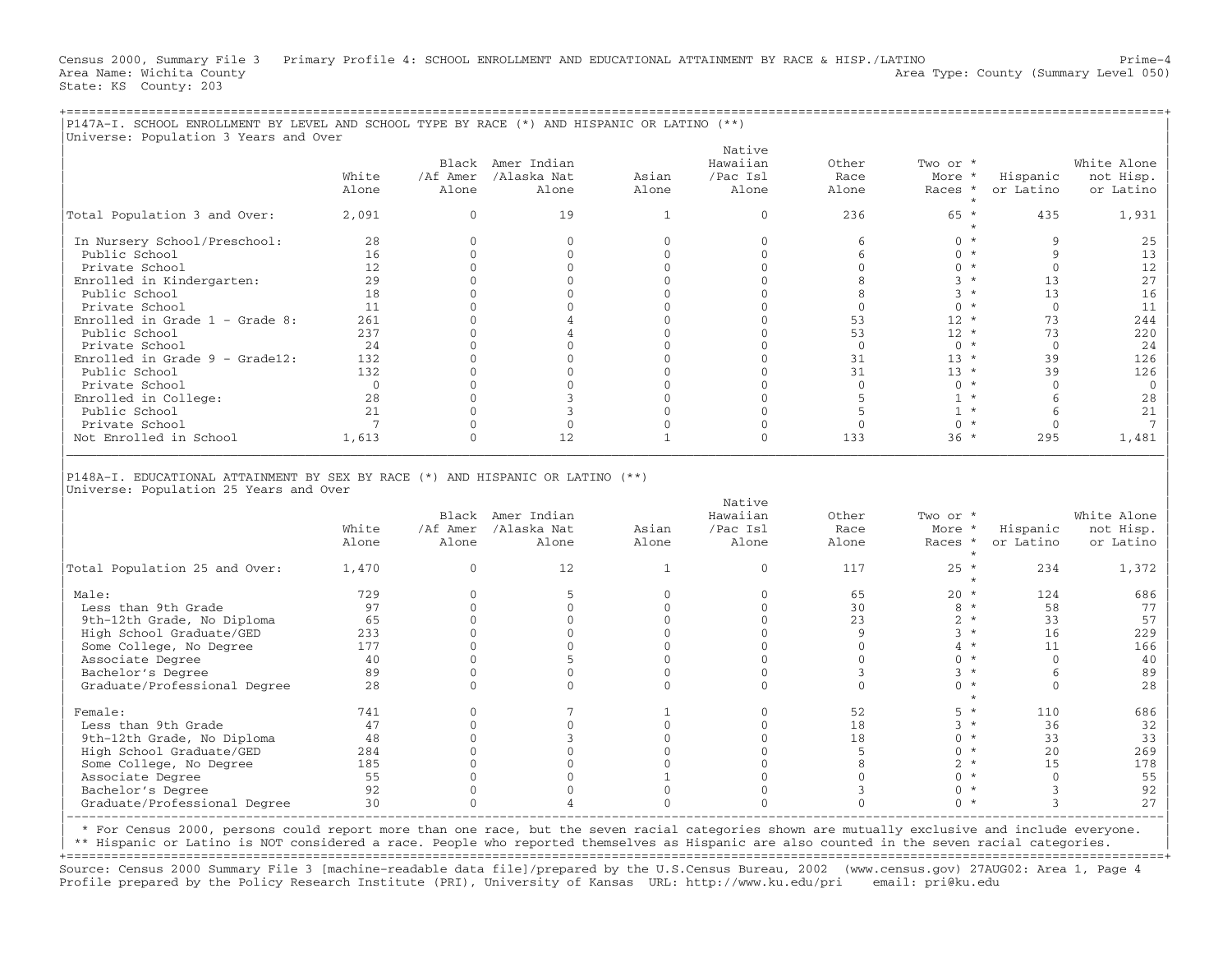Census 2000, Summary File 3 Primary Profile 4: SCHOOL ENROLLMENT AND EDUCATIONAL ATTAINMENT BY RACE & HISP./LATINO Prime−4 Area Name: Wichita County  $\blacksquare$  Area Type: County (Summary Level 050) State: KS County: 203

+===================================================================================================================================================+

|                                                                                |       |          |                   |       | Native   |          |           |           |             |
|--------------------------------------------------------------------------------|-------|----------|-------------------|-------|----------|----------|-----------|-----------|-------------|
|                                                                                |       |          | Black Amer Indian |       | Hawaiian | Other    | Two or *  |           | White Alone |
|                                                                                | White | /Af Amer | /Alaska Nat       | Asian | /Pac Isl | Race     | More *    | Hispanic  | not Hisp.   |
|                                                                                | Alone | Alone    | Alone             | Alone | Alone    | Alone    | Races *   | or Latino | or Latino   |
| Total Population 3 and Over:                                                   | 2,091 |          | 19                |       |          | 236      | $65 *$    | 435       | 1,931       |
| In Nursery School/Preschool:                                                   | 28    |          |                   |       |          |          | $0 *$     |           | 25          |
| Public School                                                                  | 16    |          |                   |       |          |          | $0 *$     |           | 13          |
| Private School                                                                 | 12    |          |                   |       |          |          | $0 *$     |           | 12          |
| Enrolled in Kindergarten:                                                      | 29    |          |                   |       |          |          |           | 13        | 27          |
| Public School                                                                  | 18    |          |                   |       |          |          |           | 13        | 16          |
| Private School                                                                 | 11    |          |                   |       |          |          | $0 *$     | $\Omega$  | 11          |
| Enrolled in Grade $1$ - Grade 8:                                               | 261   |          |                   |       |          | 53       | $12 *$    | 73        | 244         |
| Public School                                                                  | 237   |          |                   |       |          | 53       | $12 *$    | 73        | 220         |
| Private School                                                                 | 24    |          |                   |       |          | $\Omega$ | $0 *$     |           | 24          |
| Enrolled in Grade $9 -$ Grade12:                                               | 132   |          |                   |       |          | 31       | $13 *$    | 39        | 126         |
| Public School                                                                  | 132   |          |                   |       |          | 31       | $13 *$    | 39        | 126         |
| Private School                                                                 |       |          |                   |       |          |          | $0 *$     |           |             |
| Enrolled in College:                                                           | 28    |          |                   |       |          |          | $1 \star$ |           | 28          |
| Public School                                                                  | 21    |          |                   |       |          |          | $1 *$     |           | 21          |
| Private School                                                                 |       |          |                   |       |          |          | $0 *$     |           |             |
| Not Enrolled in School                                                         | 1,613 |          | 12                |       |          | 133      | $36 *$    | 295       | 1,481       |
| P148A-I. EDUCATIONAL ATTAINMENT BY SEX BY RACE (*) AND HISPANIC OR LATINO (**) |       |          |                   |       |          |          |           |           |             |

|                               |       |          | Black Amer Indian |       | Hawaiian | Other | Two or *         |           | White Alone |
|-------------------------------|-------|----------|-------------------|-------|----------|-------|------------------|-----------|-------------|
|                               | White | /Af Amer | /Alaska Nat       | Asian | /Pac Isl | Race  | More *           | Hispanic  | not Hisp.   |
|                               | Alone | Alone    | Alone             | Alone | Alone    | Alone | Races *          | or Latino | or Latino   |
|                               |       |          |                   |       |          |       |                  |           |             |
| Total Population 25 and Over: | 1,470 |          | 12                |       |          | 117   | $25 *$           | 234       | 1,372       |
|                               |       |          |                   |       |          |       |                  |           |             |
| Male:                         | 729   |          |                   |       |          | 65    | $20 *$           | 124       | 686         |
| Less than 9th Grade           | 97    |          |                   |       |          | 30    |                  | 58        | 77          |
| 9th-12th Grade, No Diploma    | 65    |          |                   |       |          | 23    |                  | 33        | 57          |
| High School Graduate/GED      | 233   |          |                   |       |          |       |                  | 16        | 229         |
| Some College, No Degree       | 177   |          |                   |       |          |       |                  |           | 166         |
| Associate Degree              | 40    |          |                   |       |          |       |                  |           | 40          |
| Bachelor's Degree             | 89    |          |                   |       |          |       |                  |           | 89          |
| Graduate/Professional Degree  | 2.8   |          |                   |       |          |       |                  |           | 2.8         |
|                               |       |          |                   |       |          |       |                  |           |             |
| Female:                       | 741   |          |                   |       |          | 52    |                  | 110       | 686         |
| Less than 9th Grade           |       |          |                   |       |          | 18    |                  | 36        | 32          |
| 9th-12th Grade, No Diploma    | 48    |          |                   |       |          | 18    |                  | 33        | 33          |
| High School Graduate/GED      | 284   |          |                   |       |          |       |                  | 20        | 269         |
|                               |       |          |                   |       |          |       |                  |           |             |
| Some College, No Degree       | 185   |          |                   |       |          |       |                  | 15        | 178         |
| Associate Degree              | 55    |          |                   |       |          |       |                  |           | 55          |
| Bachelor's Degree             | 92    |          |                   |       |          |       |                  |           | 92          |
| Graduate/Professional Degree  | 30    |          |                   |       |          |       | $\wedge$ $\star$ |           | 27          |
|                               |       |          |                   |       |          |       |                  |           |             |

| \* For Census 2000, persons could report more than one race, but the seven racial categories shown are mutually exclusive and include everyone. |

| \*\* Hispanic or Latino is NOT considered a race. People who reported themselves as Hispanic are also counted in the seven racial categories. |

+===================================================================================================================================================+ Source: Census 2000 Summary File 3 [machine−readable data file]/prepared by the U.S.Census Bureau, 2002 (www.census.gov) 27AUG02: Area 1, Page 4 Profile prepared by the Policy Research Institute (PRI), University of Kansas URL: http://www.ku.edu/pri email: pri@ku.edu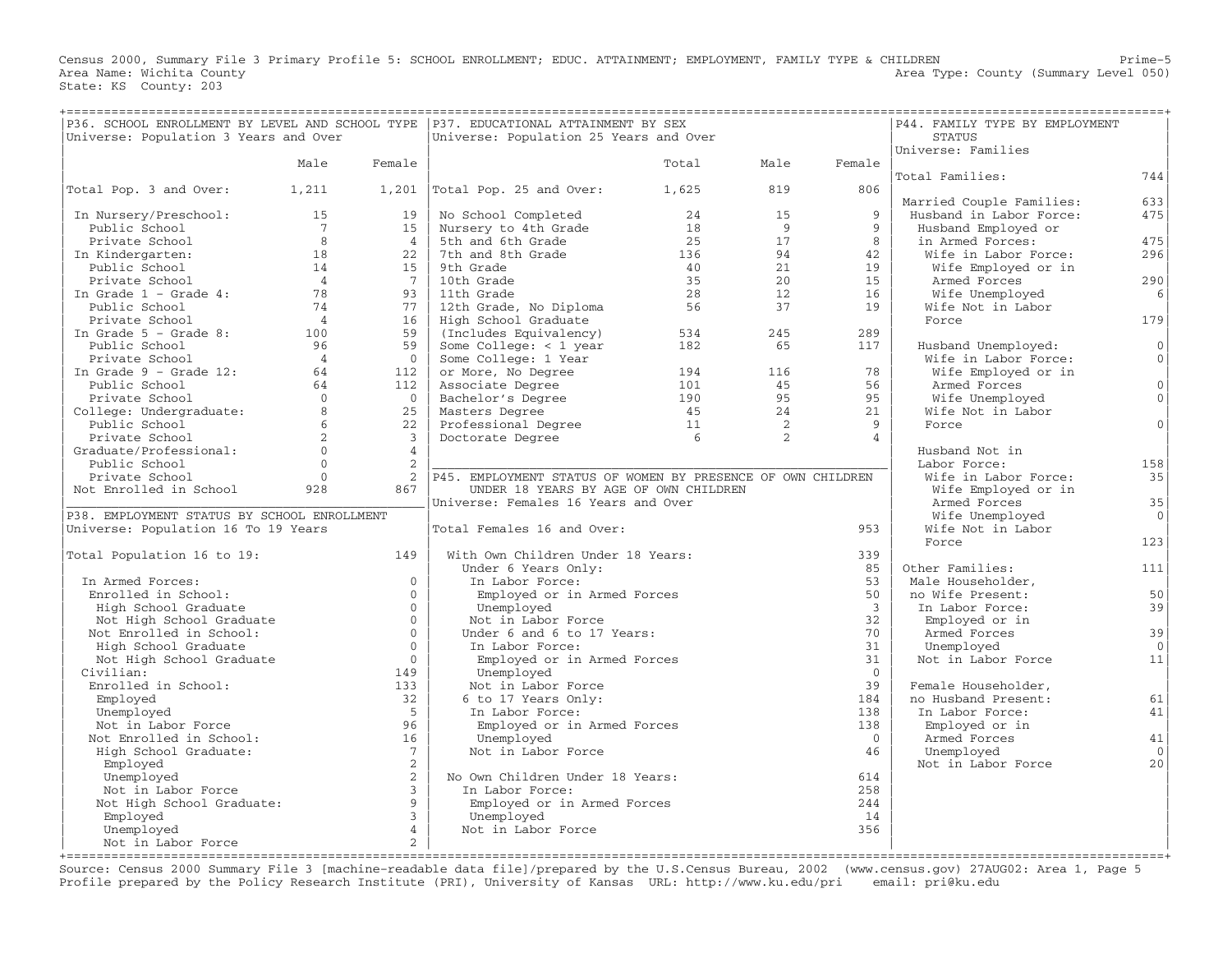Census 2000, Summary File 3 Primary Profile 5: SCHOOL ENROLLMENT; EDUC. ATTAINMENT; EMPLOYMENT, FAMILY TYPE & CHILDREN Prime−5 Area Name: Wichita County **Area Type: County Area Type: County (Summary Level 050)** State: KS County: 203

| ================================<br>P36. SCHOOL ENROLLMENT BY LEVEL AND SCHOOL TYPE   P37. EDUCATIONAL ATTAINMENT BY SEX |                |                      |                                                                                                                     | ============= |                     |                     | ================================<br>P44. FAMILY TYPE BY EMPLOYMENT |                 |
|--------------------------------------------------------------------------------------------------------------------------|----------------|----------------------|---------------------------------------------------------------------------------------------------------------------|---------------|---------------------|---------------------|--------------------------------------------------------------------|-----------------|
| Universe: Population 3 Years and Over                                                                                    |                |                      | Universe: Population 25 Years and Over                                                                              |               |                     |                     | <b>STATUS</b>                                                      |                 |
|                                                                                                                          | Male           | Female               |                                                                                                                     | Total         | Male                | Female              | Universe: Families                                                 |                 |
|                                                                                                                          |                |                      |                                                                                                                     |               |                     |                     | Total Families:                                                    | 744             |
| Total Pop. 3 and Over:                                                                                                   | 1,211          |                      | $1,201$  Total Pop. 25 and Over:                                                                                    | 1,625         | 819                 | 806                 |                                                                    |                 |
|                                                                                                                          |                |                      |                                                                                                                     |               |                     |                     | Married Couple Families:                                           | 633             |
| In Nursery/Preschool:                                                                                                    | 15             | 19 <sup>1</sup>      | No School Completed                                                                                                 | 24            | 15                  | 9                   | Husband in Labor Force:                                            | 475             |
| Public School                                                                                                            | $\overline{7}$ | 15                   | Nursery to 4th Grade                                                                                                | 18            | 9                   | 9                   | Husband Employed or                                                |                 |
| Private School                                                                                                           | 8              | 4                    | 5th and 6th Grade                                                                                                   | 25            | 17                  | 8                   | in Armed Forces:                                                   | 475             |
| In Kindergarten:                                                                                                         | 18             | 22                   | 7th and 8th Grade                                                                                                   | 136           | 94                  | 42                  | Wife in Labor Force:                                               | 296             |
| Public School                                                                                                            | 14             | 15                   | 9th Grade                                                                                                           | 40            | 21                  | 19                  | Wife Employed or in                                                |                 |
| Private School                                                                                                           | $\overline{4}$ | $\overline{7}$       | 10th Grade                                                                                                          | 3.5           | 2.0                 | 15                  | Armed Forces                                                       | 290             |
| In Grade $1$ - Grade $4$ :                                                                                               | 78             | 93                   | 11th Grade                                                                                                          | 28            | 12                  | 16                  | Wife Unemployed                                                    | 6               |
| Public School                                                                                                            | 74             | 77                   | 12th Grade, No Diploma                                                                                              | 56            | 37                  | 19                  | Wife Not in Labor                                                  |                 |
| Private School                                                                                                           | $\overline{4}$ | 16                   | High School Graduate                                                                                                |               |                     |                     | Force                                                              | 179             |
| In Grade $5$ - Grade $8:$                                                                                                | 100            | 59                   | (Includes Equivalency)                                                                                              | 534           | 245                 | 289                 |                                                                    |                 |
| Public School                                                                                                            | 96             | 59                   | Some College: $<$ 1 year                                                                                            | 182           | 65                  | 117                 | Husband Unemployed:                                                | 0               |
| Private School<br>In Grade 9 - Grade 12: 64                                                                              |                | $\bigcirc$           | Some College: 1 Year                                                                                                |               |                     |                     | Wife in Labor Force:                                               | 0 <sup>1</sup>  |
|                                                                                                                          |                | 112                  | or More, No Degree                                                                                                  | 194           | 116                 | 78                  | Wife Employed or in                                                |                 |
| Public School                                                                                                            | 64             | 112                  | Associate Degree                                                                                                    | 101           | 45                  | 56                  | Armed Forces                                                       | $\circ$         |
| Private School 0<br>College: Undergraduate: 8                                                                            |                | $\bigcap$            |                                                                                                                     |               | 95                  | 95                  | Wife Unemployed                                                    | 0 <sup>1</sup>  |
|                                                                                                                          |                | 25                   | Associate Degree 101<br>Bachelor's Degree 190<br>Masters Degree 190<br>Professional Degree 11<br>Doctorate Degree 6 |               | 24                  | 21                  | Wife Not in Labor                                                  | $\circ$         |
| Public School                                                                                                            | 6<br>2         | 22<br>$\overline{3}$ |                                                                                                                     |               | $\overline{2}$<br>2 | 9<br>$\overline{4}$ | Force                                                              |                 |
| Private School                                                                                                           | $\Omega$       | $\overline{4}$       |                                                                                                                     |               |                     |                     |                                                                    |                 |
| Graduate/Professional:                                                                                                   | $\Omega$       | 2                    |                                                                                                                     |               |                     |                     | Husband Not in<br>Labor Force:                                     | 158             |
| Public School<br>Private School                                                                                          | $\overline{0}$ | 2                    | P45. EMPLOYMENT STATUS OF WOMEN BY PRESENCE OF OWN CHILDREN                                                         |               |                     |                     | Wife in Labor Force:                                               | 35              |
| Not Enrolled in School                                                                                                   | 928            | 867                  | UNDER 18 YEARS BY AGE OF OWN CHILDREN                                                                               |               |                     |                     | Wife Employed or in                                                |                 |
|                                                                                                                          |                |                      | Universe: Females 16 Years and Over                                                                                 |               |                     |                     | Armed Forces                                                       | 35              |
| P38. EMPLOYMENT STATUS BY SCHOOL ENROLLMENT                                                                              |                |                      |                                                                                                                     |               |                     |                     | Wife Unemployed                                                    | $\circ$         |
| Universe: Population 16 To 19 Years                                                                                      |                |                      | Total Females 16 and Over:                                                                                          |               |                     | 953                 | Wife Not in Labor                                                  |                 |
|                                                                                                                          |                |                      |                                                                                                                     |               |                     |                     | Force                                                              | 123             |
| Total Population 16 to 19:                                                                                               |                | 149                  | With Own Children Under 18 Years:                                                                                   |               |                     | 339                 |                                                                    |                 |
|                                                                                                                          |                |                      | Under 6 Years Only:                                                                                                 |               |                     | 85                  | Other Families:                                                    | 111             |
| In Armed Forces:                                                                                                         |                | $\circ$              | In Labor Force:                                                                                                     |               |                     | 53                  | Male Householder,                                                  |                 |
| Enrolled in School:                                                                                                      |                | $\Omega$             | Employed or in Armed Forces                                                                                         |               |                     | 50                  | no Wife Present:                                                   | 50              |
| High School Graduate                                                                                                     |                | $\Omega$             | Unemployed                                                                                                          |               |                     | $\mathcal{E}$       | In Labor Force:                                                    | 39              |
| Not High School Graduate                                                                                                 |                | $\circ$              | Not in Labor Force                                                                                                  |               |                     | 32                  | Employed or in                                                     |                 |
| Not Enrolled in School:                                                                                                  |                | $\Omega$             | Under 6 and 6 to 17 Years:                                                                                          |               |                     | 70                  | Armed Forces                                                       | 39              |
| High School Graduate                                                                                                     |                | $\overline{0}$       | In Labor Force:                                                                                                     |               |                     | 31                  | Unemployed                                                         | $\Omega$        |
| Not High School Graduate                                                                                                 |                | $\Omega$             | Employed or in Armed Forces                                                                                         |               |                     | 31                  | Not in Labor Force                                                 | 11              |
| Civilian:                                                                                                                |                | 149                  | Unemployed                                                                                                          |               |                     | $\overline{0}$      |                                                                    |                 |
| Enrolled in School:                                                                                                      |                | 133                  | Not in Labor Force                                                                                                  |               |                     | 39                  | Female Householder,                                                |                 |
| Employed                                                                                                                 |                | 32                   | 6 to 17 Years Only:                                                                                                 |               |                     | 184                 | no Husband Present:                                                | 61              |
| Unemployed                                                                                                               |                | 5                    | In Labor Force:                                                                                                     |               |                     | 138                 | In Labor Force:                                                    | 41              |
| Not in Labor Force                                                                                                       |                | 96                   | Employed or in Armed Forces                                                                                         |               |                     | 138                 | Employed or in                                                     |                 |
| Not Enrolled in School:                                                                                                  |                | 16<br>$7^{\circ}$    | Unemployed                                                                                                          |               |                     | $\overline{0}$      | Armed Forces                                                       | $4\,1$          |
| High School Graduate:                                                                                                    |                | 2                    | Not in Labor Force                                                                                                  |               |                     | 46                  | Unemployed<br>Not in Labor Force                                   | $\Omega$<br>2.0 |
| Employed<br>Unemployed                                                                                                   |                | 2                    | No Own Children Under 18 Years:                                                                                     |               |                     | 614                 |                                                                    |                 |
| Not in Labor Force                                                                                                       |                | $\overline{3}$       | In Labor Force:                                                                                                     |               |                     | 258                 |                                                                    |                 |
| Not High School Graduate:                                                                                                |                | $\circ$              | Employed or in Armed Forces                                                                                         |               |                     | 244                 |                                                                    |                 |
| Employed                                                                                                                 |                | $\mathbf{3}$         | Unemployed                                                                                                          |               |                     | 14                  |                                                                    |                 |
| Unemployed                                                                                                               |                | $\overline{4}$       | Not in Labor Force                                                                                                  |               |                     | 356                 |                                                                    |                 |
| Not in Labor Force                                                                                                       |                | $\overline{a}$       |                                                                                                                     |               |                     |                     |                                                                    |                 |
|                                                                                                                          |                |                      |                                                                                                                     |               |                     |                     |                                                                    |                 |

+===================================================================================================================================================+ Source: Census 2000 Summary File 3 [machine−readable data file]/prepared by the U.S.Census Bureau, 2002 (www.census.gov) 27AUG02: Area 1, Page 5 Profile prepared by the Policy Research Institute (PRI), University of Kansas URL: http://www.ku.edu/pri email: pri@ku.edu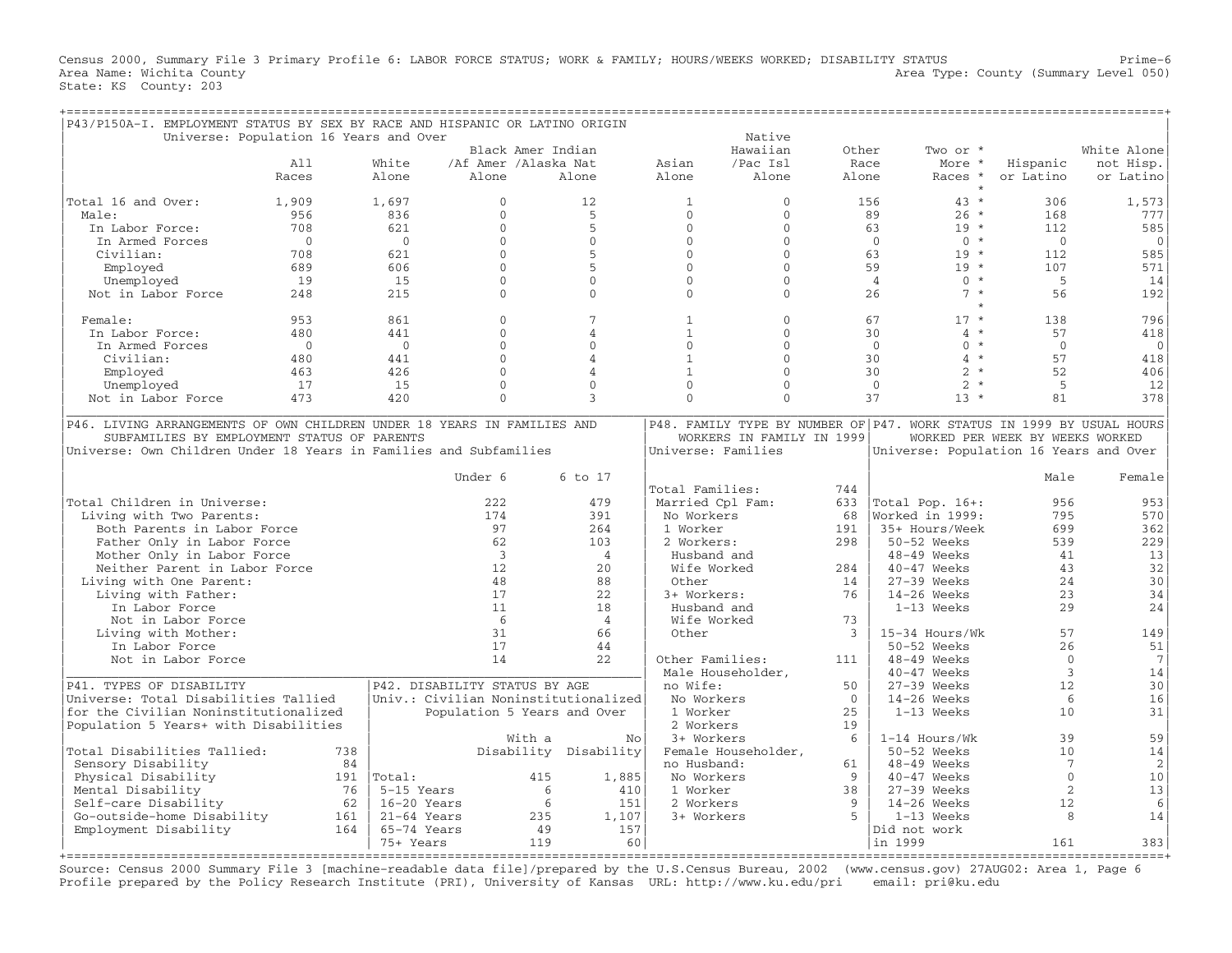Census 2000, Summary File 3 Primary Profile 6: LABOR FORCE STATUS; WORK & FAMILY; HOURS/WEEKS WORKED; DISABILITY STATUS Prime−6 Area Name: Wichita County  $\blacksquare$  Area Type: County (Summary Level 050) State: KS County: 203

| P43/P150A-I. EMPLOYMENT STATUS BY SEX BY RACE AND HISPANIC OR LATINO ORIGIN |                                        |                |                               |                                      |                    |                           |                |                                                                       |                                 |                 |
|-----------------------------------------------------------------------------|----------------------------------------|----------------|-------------------------------|--------------------------------------|--------------------|---------------------------|----------------|-----------------------------------------------------------------------|---------------------------------|-----------------|
|                                                                             | Universe: Population 16 Years and Over |                |                               |                                      |                    | Native                    |                |                                                                       |                                 |                 |
|                                                                             |                                        |                | Black Amer Indian             |                                      |                    | Hawaiian                  | Other          | Two or *                                                              |                                 | White Alone     |
|                                                                             | A11                                    | White          | /Af Amer /Alaska Nat          |                                      | Asian              | /Pac Isl                  | Race           | More *                                                                | Hispanic                        | not Hisp.       |
|                                                                             | Races                                  | Alone          | Alone                         | Alone                                | Alone              | Alone                     | Alone          | Races *                                                               | or Latino                       | or Latino       |
|                                                                             |                                        |                |                               |                                      |                    |                           |                | $\star$                                                               |                                 |                 |
| Total 16 and Over:                                                          | 1,909                                  | 1,697          | $\Omega$                      | 12                                   | $\mathbf{1}$       | $\mathbf{0}$              |                | $43 *$<br>156                                                         | 306                             | 1,573           |
| Male:                                                                       | 956                                    | 836            | $\Omega$                      | $5^{\circ}$                          | $\Omega$           | $\Omega$                  |                | $26 *$<br>89                                                          | 168                             | 777             |
| In Labor Force:                                                             | 708                                    | 621            | $\Omega$                      | 5                                    | $\Omega$           | $\Omega$                  |                | $19 *$<br>63                                                          | 112                             | 585             |
| In Armed Forces                                                             | $\Omega$                               | $\overline{0}$ | $\Omega$                      | $\Omega$                             | $\mathbf{0}$       | $\Omega$                  |                | $\Omega$<br>$0 *$                                                     | $\Omega$                        | $\mathbf 0$     |
| Civilian:                                                                   | 708                                    | 621            | $\Omega$                      | 5                                    | $\Omega$           | $\Omega$                  |                | 63<br>$19 *$                                                          | 112                             | 585             |
| Employed                                                                    | 689                                    | 606            | $\Omega$                      | 5                                    | $\Omega$           | $\mathbf{0}$              |                | 59<br>$19 *$                                                          | 107                             | 571             |
|                                                                             | 19                                     | 15             | $\Omega$                      | $\Omega$                             | $\mathbf{0}$       | $\Omega$                  |                | $\overline{4}$<br>$0 *$                                               | 5                               |                 |
| Unemployed                                                                  |                                        |                | $\Omega$                      | $\Omega$                             | $\Omega$           | $\Omega$                  |                | $7 *$                                                                 |                                 | 14              |
| Not in Labor Force                                                          | 248                                    | 215            |                               |                                      |                    |                           |                | 26                                                                    | 56                              | 192             |
| Female:                                                                     | 953                                    | 861            | $\Omega$                      | 7                                    | $\mathbf{1}$       | $\mathbf{0}$              |                | $17 *$<br>67                                                          | 138                             | 796             |
| In Labor Force:                                                             | 480                                    | 441            | $\Omega$                      | $\overline{4}$                       | $\mathbf{1}$       | $\Omega$                  |                | $4 *$<br>30                                                           | 57                              | 418             |
|                                                                             |                                        |                |                               |                                      |                    |                           |                |                                                                       |                                 |                 |
| In Armed Forces                                                             | $\Omega$                               | $\Omega$       | $\Omega$                      | $\Omega$                             | $\Omega$           | $\Omega$                  |                | $\Omega$<br>$0 *$                                                     | $\Omega$                        | $\mathbf 0$     |
| Civilian:                                                                   | 480                                    | 441            | $\Omega$                      | $\overline{4}$                       | $\mathbf{1}$       | $\Omega$                  |                | 30<br>$\overline{4}$<br>$\star$                                       | 57                              | 418             |
| Employed                                                                    | 463                                    | 426            | $\Omega$                      | $\overline{4}$                       | $\mathbf{1}$       | $\Omega$                  |                | $2 *$<br>30                                                           | 52                              | 406             |
| Unemployed                                                                  | 17                                     | 15             | $\Omega$                      | $\Omega$                             | $\Omega$           | $\mathbf{0}$              |                | $\overline{2}$<br>$\mathbf{0}$<br>$\star$                             | 5                               | 12              |
| Not in Labor Force                                                          | 473                                    | 420            | $\Omega$                      | 3                                    | $\mathbf{0}$       | $\Omega$                  |                | 37<br>$13 *$                                                          | 81                              | 378             |
|                                                                             |                                        |                |                               |                                      |                    |                           |                |                                                                       |                                 |                 |
| P46. LIVING ARRANGEMENTS OF OWN CHILDREN UNDER 18 YEARS IN FAMILIES AND     |                                        |                |                               |                                      |                    |                           |                | P48. FAMILY TYPE BY NUMBER OF P47. WORK STATUS IN 1999 BY USUAL HOURS |                                 |                 |
| SUBFAMILIES BY EMPLOYMENT STATUS OF PARENTS                                 |                                        |                |                               |                                      |                    | WORKERS IN FAMILY IN 1999 |                |                                                                       | WORKED PER WEEK BY WEEKS WORKED |                 |
| Universe: Own Children Under 18 Years in Families and Subfamilies           |                                        |                |                               |                                      | Universe: Families |                           |                | Universe: Population 16 Years and Over                                |                                 |                 |
|                                                                             |                                        |                |                               |                                      |                    |                           |                |                                                                       |                                 |                 |
|                                                                             |                                        |                | Under 6                       | 6 to 17                              |                    |                           |                |                                                                       | Male                            | Female          |
|                                                                             |                                        |                |                               |                                      | Total Families:    |                           | 744            |                                                                       |                                 |                 |
| Total Children in Universe:                                                 |                                        |                | 222                           | 479                                  | Married Cpl Fam:   |                           | 633            | Total Pop. 16+:                                                       | 956                             | 953             |
| Living with Two Parents:                                                    |                                        |                | 174                           | 391                                  | No Workers         |                           | 68             | Worked in 1999:                                                       | 795                             | 570             |
| Both Parents in Labor Force                                                 |                                        |                | 97                            | 264                                  | 1 Worker           |                           | 191            | 35+ Hours/Week                                                        | 699                             | 362             |
| Father Only in Labor Force                                                  |                                        |                | 62                            | 103                                  | 2 Workers:         |                           | 298            | 50-52 Weeks                                                           | 539                             | 229             |
| Mother Only in Labor Force                                                  |                                        |                | $\overline{3}$                | $\overline{4}$                       | Husband and        |                           |                | $48-49$ Weeks                                                         | 41                              | 13              |
| Neither Parent in Labor Force                                               |                                        |                | 12                            | 20                                   | Wife Worked        |                           | 284            | 40-47 Weeks                                                           | 43                              | 32              |
| Living with One Parent:                                                     |                                        |                | 48                            | 88                                   | Other              |                           | 14             | 27-39 Weeks                                                           | 24                              | 30              |
| Living with Father:                                                         |                                        |                | 17                            | 22                                   | 3+ Workers:        |                           | 76             | $14-26$ Weeks                                                         | 23                              | 34              |
| In Labor Force                                                              |                                        |                | 11                            | 18                                   | Husband and        |                           |                | 1-13 Weeks                                                            | 29                              | 24              |
|                                                                             |                                        |                | -6                            | $\overline{4}$                       |                    |                           | 73             |                                                                       |                                 |                 |
| Not in Labor Force                                                          |                                        |                |                               |                                      | Wife Worked        |                           |                |                                                                       | 57                              |                 |
| Living with Mother:                                                         |                                        |                | 31                            | 66                                   | Other              |                           | $\mathcal{E}$  | 15-34 Hours/Wk                                                        |                                 | 149             |
| In Labor Force                                                              |                                        |                | 17                            | 44                                   |                    |                           |                | $50-52$ Weeks                                                         | 2.6                             | 51              |
| Not in Labor Force                                                          |                                        |                | 14                            | 2.2.                                 | Other Families:    |                           | 111            | 48-49 Weeks                                                           | $\Omega$                        | $7\phantom{.0}$ |
|                                                                             |                                        |                |                               |                                      | Male Householder,  |                           |                | 40-47 Weeks                                                           | $\mathbf{3}$                    | 14              |
| P41. TYPES OF DISABILITY                                                    |                                        |                | P42. DISABILITY STATUS BY AGE |                                      | no Wife:           |                           | 50             | $27-39$ Weeks                                                         | 12                              | 30              |
| Universe: Total Disabilities Tallied                                        |                                        |                |                               | Univ.: Civilian Noninstitutionalized | No Workers         |                           | $\overline{0}$ | $14-26$ Weeks                                                         | 6                               | 16              |
| for the Civilian Noninstitutionalized                                       |                                        |                | Population 5 Years and Over   |                                      | 1 Worker           |                           | 25             | 1-13 Weeks                                                            | 10                              | 31              |
| Population 5 Years+ with Disabilities                                       |                                        |                |                               |                                      | 2 Workers          |                           | 19             |                                                                       |                                 |                 |
|                                                                             |                                        |                | With a                        | No                                   | 3+ Workers         |                           | 6              | 1-14 Hours/Wk                                                         | 39                              | 59              |
| Total Disabilities Tallied:                                                 | 738                                    |                |                               | Disability Disability                |                    | Female Householder,       |                | 50-52 Weeks                                                           | 10                              | 14              |
| Sensory Disability                                                          |                                        | 84             |                               |                                      | no Husband:        |                           | 61             | 48-49 Weeks                                                           | $7\phantom{.0}$                 | $\overline{c}$  |
| Physical Disability                                                         |                                        | $191$  Total:  | 415                           | 1,885                                | No Workers         |                           | 9              | $40-47$ Weeks                                                         | $\Omega$                        | 10              |
| Mental Disability                                                           | 76                                     | 5-15 Years     |                               | 6<br>410                             | 1 Worker           |                           | 38             | $27-39$ Weeks                                                         | 2                               | 13              |
| Self-care Disability                                                        | 62                                     | $16-20$ Years  |                               | 6<br>151                             | 2 Workers          |                           | 9              | $14-26$ Weeks                                                         | 12                              | 6               |
| Go-outside-home Disability                                                  | 161                                    | $21-64$ Years  | 235                           | 1,107                                |                    |                           | 5              | $1-13$ Weeks                                                          | 8                               | 14              |
|                                                                             |                                        |                |                               |                                      | 3+ Workers         |                           |                |                                                                       |                                 |                 |
| Employment Disability                                                       | 164                                    | 65-74 Years    | 49                            | 157                                  |                    |                           |                | Did not work                                                          |                                 |                 |
|                                                                             |                                        | 75+ Years      | 119                           | 60                                   |                    |                           |                | in 1999                                                               | 161                             | 383             |

+===================================================================================================================================================+ Source: Census 2000 Summary File 3 [machine−readable data file]/prepared by the U.S.Census Bureau, 2002 (www.census.gov) 27AUG02: Area 1, Page 6 Profile prepared by the Policy Research Institute (PRI), University of Kansas URL: http://www.ku.edu/pri email: pri@ku.edu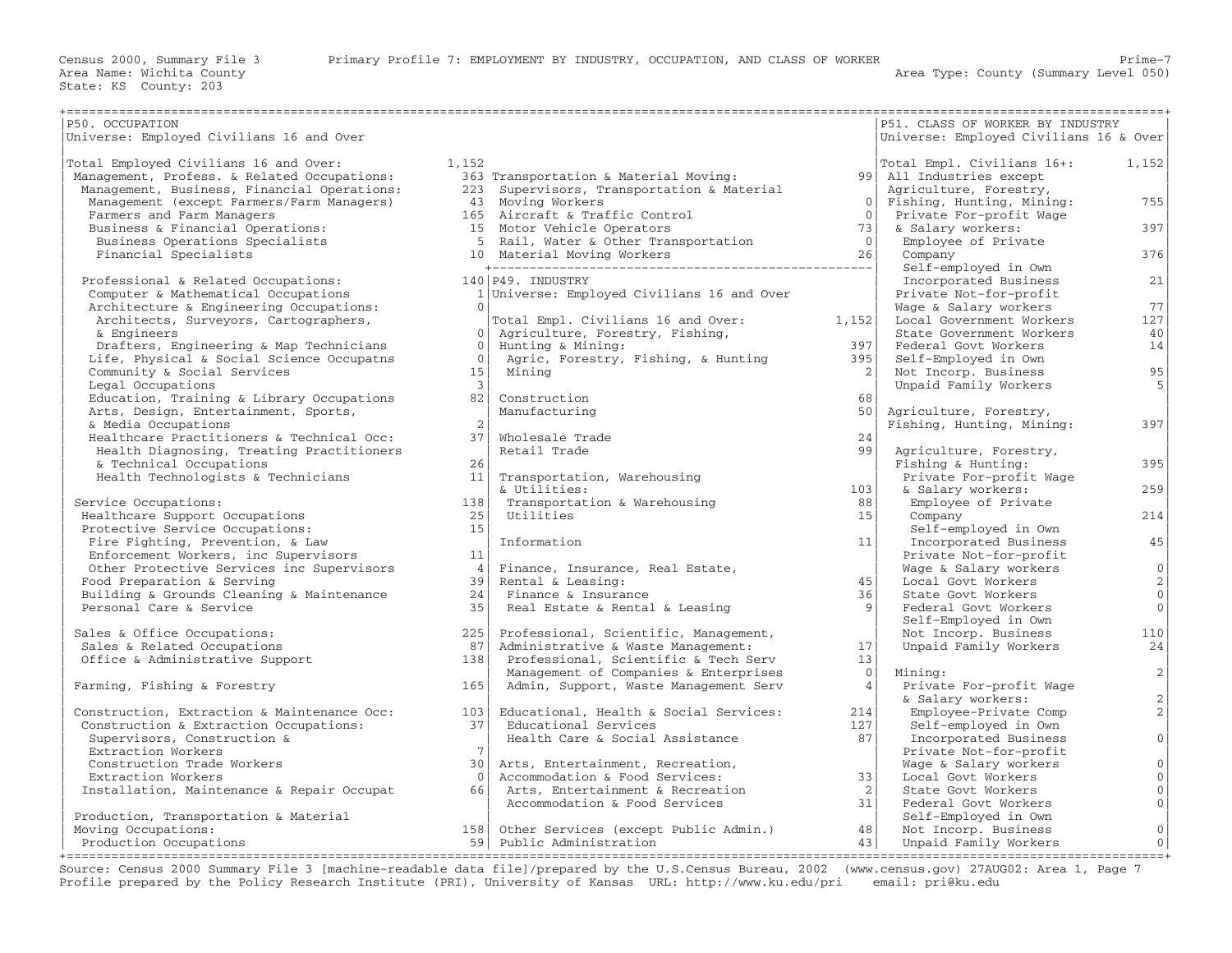| P50. OCCUPATION                             |                 |                                             |                 | P51. CLASS OF WORKER BY INDUSTRY       |                                   |
|---------------------------------------------|-----------------|---------------------------------------------|-----------------|----------------------------------------|-----------------------------------|
| Universe: Employed Civilians 16 and Over    |                 |                                             |                 | Universe: Employed Civilians 16 & Over |                                   |
| Total Employed Civilians 16 and Over:       | 1,152           |                                             |                 | Total Empl. Civilians 16+:             | 1,152                             |
| Management, Profess. & Related Occupations: |                 | 363 Transportation & Material Moving:       |                 | 99 All Industries except               |                                   |
| Management, Business, Financial Operations: |                 | 223 Supervisors, Transportation & Material  |                 | Agriculture, Forestry,                 |                                   |
| Management (except Farmers/Farm Managers)   |                 | 43 Moving Workers                           | $\bigcirc$      | Fishing, Hunting, Mining:              | 755                               |
| Farmers and Farm Managers                   |                 | 165 Aircraft & Traffic Control              | $\overline{0}$  | Private For-profit Wage                |                                   |
| Business & Financial Operations:            |                 | 15 Motor Vehicle Operators                  | 73              | & Salary workers:                      | 397                               |
| Business Operations Specialists             |                 | 5 Rail, Water & Other Transportation        | 0 <sup>1</sup>  | Employee of Private                    |                                   |
| Financial Specialists                       |                 | 10 Material Moving Workers                  | 26              | Company                                | 376                               |
|                                             |                 |                                             |                 | Self-employed in Own                   |                                   |
| Professional & Related Occupations:         |                 | 140 P49. INDUSTRY                           |                 | Incorporated Business                  | 21                                |
| Computer & Mathematical Occupations         |                 | 1 Universe: Employed Civilians 16 and Over  |                 | Private Not-for-profit                 |                                   |
| Architecture & Engineering Occupations:     | $\bigcirc$      |                                             |                 | Wage & Salary workers                  | 77                                |
| Architects, Surveyors, Cartographers,       |                 | Total Empl. Civilians 16 and Over:          | 1,152           | Local Government Workers               | 127                               |
| & Engineers                                 | $\Omega$        | Agriculture, Forestry, Fishing,             |                 | State Government Workers               | 40                                |
| Drafters, Engineering & Map Technicians     | 0 <sup>1</sup>  | Hunting & Mining:                           | 397             | Federal Govt Workers                   | 14                                |
| Life, Physical & Social Science Occupatns   | $\bigcirc$      | Agric, Forestry, Fishing, & Hunting         | 395             | Self-Employed in Own                   |                                   |
| Community & Social Services                 | 15 <sub>1</sub> | Mining                                      | 2               | Not Incorp. Business                   | 95                                |
| Legal Occupations                           | 3 <sup>1</sup>  |                                             |                 | Unpaid Family Workers                  | 5                                 |
| Education, Training & Library Occupations   | 82              | Construction                                | 68              |                                        |                                   |
| Arts, Design, Entertainment, Sports,        |                 | Manufacturing                               | 50 <sup>1</sup> | Agriculture, Forestry,                 |                                   |
| & Media Occupations                         |                 |                                             |                 | Fishing, Hunting, Mining:              | 397                               |
| Healthcare Practitioners & Technical Occ:   | 37 <sup>1</sup> | Wholesale Trade                             | 24              |                                        |                                   |
| Health Diagnosing, Treating Practitioners   |                 | Retail Trade                                | 99              | Agriculture, Forestry,                 |                                   |
| & Technical Occupations                     | 26              |                                             |                 | Fishing & Hunting:                     | 395                               |
| Health Technologists & Technicians          | 11 <sup>1</sup> |                                             |                 | Private For-profit Wage                |                                   |
|                                             |                 | Transportation, Warehousing<br>& Utilities: | 103             |                                        | 259                               |
| Service Occupations:                        | 138             | Transportation & Warehousing                | 88              | & Salary workers:                      |                                   |
|                                             | 251             | Utilities                                   | 15 <sup>1</sup> | Employee of Private                    | 214                               |
| Healthcare Support Occupations              | 15              |                                             |                 | Company                                |                                   |
| Protective Service Occupations:             |                 | Information                                 | 11              | Self-employed in Own                   |                                   |
| Fire Fighting, Prevention, & Law            | 11              |                                             |                 | Incorporated Business                  | 45                                |
| Enforcement Workers, inc Supervisors        | 4               |                                             |                 | Private Not-for-profit                 | $\mathbf 0$                       |
| Other Protective Services inc Supervisors   | 39              | Finance, Insurance, Real Estate,            | 45              | Wage & Salary workers                  |                                   |
| Food Preparation & Serving                  | 24              | Rental & Leasing:<br>Finance & Insurance    | 36              | Local Govt Workers                     | $\sqrt{2}$<br>$\mathsf{O}\xspace$ |
| Building & Grounds Cleaning & Maintenance   |                 |                                             | 9 <sup>1</sup>  | State Govt Workers                     | $\mathbf{0}$                      |
| Personal Care & Service                     | 35              | Real Estate & Rental & Leasing              |                 | Federal Govt Workers                   |                                   |
|                                             | 225             |                                             |                 | Self-Employed in Own                   | 110                               |
| Sales & Office Occupations:                 |                 | Professional, Scientific, Management,       |                 | Not Incorp. Business                   |                                   |
| Sales & Related Occupations                 | 87              | Administrative & Waste Management:          | 17 <sup>1</sup> | Unpaid Family Workers                  | 24                                |
| Office & Administrative Support             | 138             | Professional, Scientific & Tech Serv        | 13 <sup>1</sup> |                                        |                                   |
|                                             |                 | Management of Companies & Enterprises       | $\Omega$        | Mining:                                | $\overline{2}$                    |
| Farming, Fishing & Forestry                 | 165             | Admin, Support, Waste Management Serv       | 4               | Private For-profit Wage                |                                   |
|                                             |                 |                                             |                 | & Salary workers:                      | $\overline{2}$                    |
| Construction, Extraction & Maintenance Occ: | 103             | Educational, Health & Social Services:      | 214             | Employee-Private Comp                  | 2                                 |
| Construction & Extraction Occupations:      | 37 <sup>1</sup> | Educational Services                        | 127             | Self-employed in Own                   |                                   |
| Supervisors, Construction &                 |                 | Health Care & Social Assistance             | 87              | Incorporated Business                  | $\overline{0}$                    |
| Extraction Workers                          | $7\overline{ }$ |                                             |                 | Private Not-for-profit                 |                                   |
| Construction Trade Workers                  | 30 <sup>1</sup> | Arts, Entertainment, Recreation,            |                 | Wage & Salary workers                  | $\mathbf 0$                       |
| Extraction Workers                          | $\bigcap$       | Accommodation & Food Services:              | 331             | Local Govt Workers                     | $\circ$                           |
| Installation, Maintenance & Repair Occupat  | 66              | Arts, Entertainment & Recreation            | 2               | State Govt Workers                     | $\mathbf 0$                       |
|                                             |                 | Accommodation & Food Services               | 31              | Federal Govt Workers                   | $\mathbf 0$                       |
| Production, Transportation & Material       |                 |                                             |                 | Self-Employed in Own                   |                                   |
| Moving Occupations:                         | 158             | Other Services (except Public Admin.)       | 48              | Not Incorp. Business                   | $\mathbf 0$                       |
| Production Occupations                      | 59              | Public Administration                       | 43              | Unpaid Family Workers                  | $\mathbf{0}$                      |

+===================================================================================================================================================+ Source: Census 2000 Summary File 3 [machine−readable data file]/prepared by the U.S.Census Bureau, 2002 (www.census.gov) 27AUG02: Area 1, Page 7 Profile prepared by the Policy Research Institute (PRI), University of Kansas URL: http://www.ku.edu/pri email: pri@ku.edu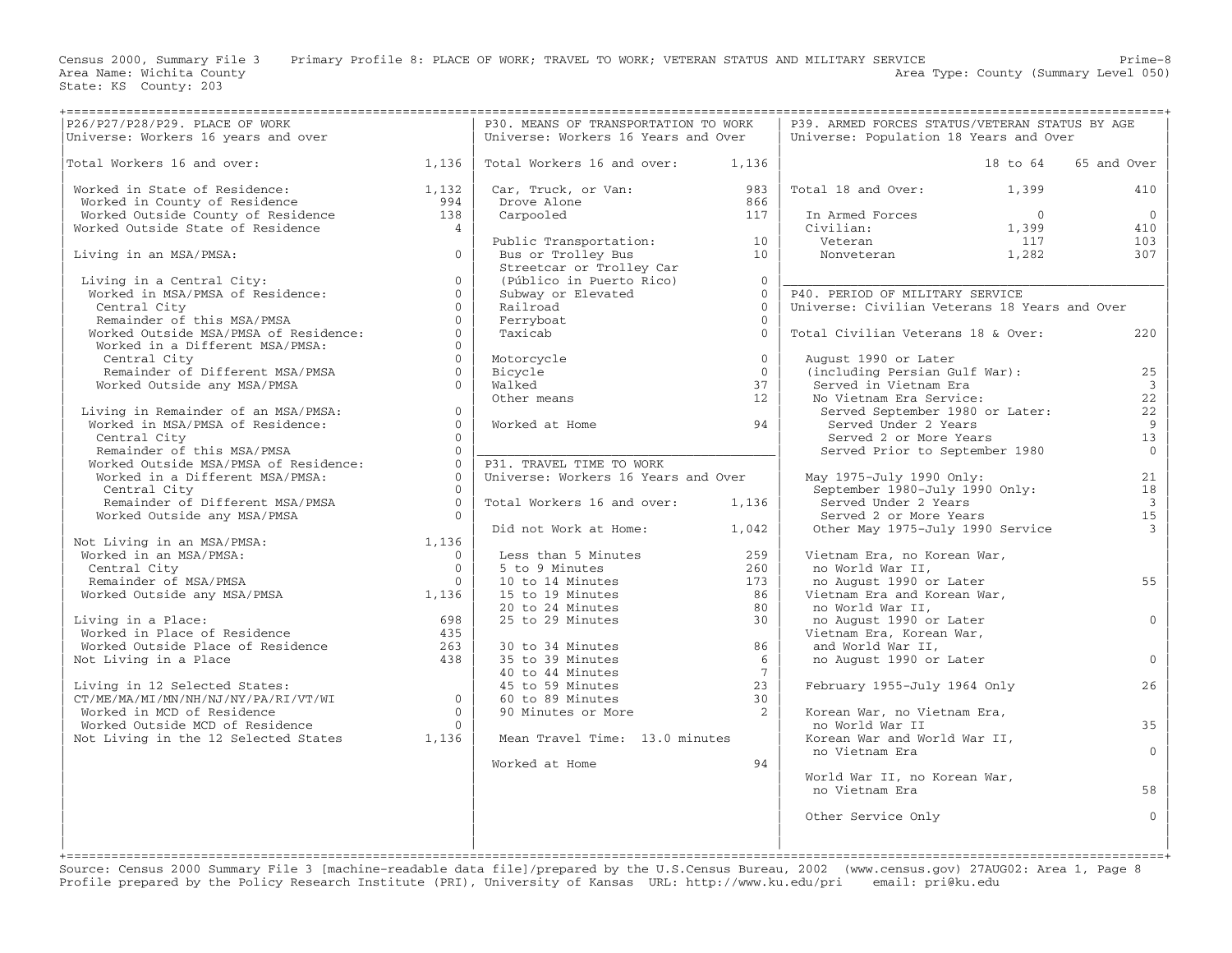Census 2000, Summary File 3 Primary Profile 8: PLACE OF WORK; TRAVEL TO WORK; VETERAN STATUS AND MILITARY SERVICE Prime−8 Area Name: Wichita County 1999 (Summary Level 050) Area Type: County (Summary Level 050)

|                                                                                                                                                                                                         |           | P30. MEANS OF TRANSPORTATION TO WORK                                                                                                                                                                                                                         |                | P39. ARMED FORCES STATUS/VETERAN STATUS BY AGE                                                                 |          |                          |
|---------------------------------------------------------------------------------------------------------------------------------------------------------------------------------------------------------|-----------|--------------------------------------------------------------------------------------------------------------------------------------------------------------------------------------------------------------------------------------------------------------|----------------|----------------------------------------------------------------------------------------------------------------|----------|--------------------------|
|                                                                                                                                                                                                         |           | Universe: Workers 16 Years and Over                                                                                                                                                                                                                          |                | Universe: Population 18 Years and Over                                                                         |          |                          |
| P26/P27/P28/P29. PLACE OF WORK<br>Universe: Workers 16 years and over<br>                                                                                                                               |           |                                                                                                                                                                                                                                                              |                |                                                                                                                |          |                          |
| Total Workers 16 and over: $1,136$                                                                                                                                                                      |           |                                                                                                                                                                                                                                                              |                |                                                                                                                | 18 to 64 | 65 and Over              |
|                                                                                                                                                                                                         |           | Total Workers 16 and over: 1,136                                                                                                                                                                                                                             |                |                                                                                                                |          |                          |
|                                                                                                                                                                                                         |           |                                                                                                                                                                                                                                                              |                |                                                                                                                |          |                          |
| Worked in State of Residence: 1,132<br>Worked in County of Residence 1994                                                                                                                               |           | Car, Truck, or Van: $983$ $983$                                                                                                                                                                                                                              |                | Total 18 and Over: 1,399                                                                                       |          | 410                      |
| Worked Outside County of Residence<br>Worked Outside County of Residence<br>Worked Outside State of Residence<br>138<br>Living is a verticular control of Residence<br>14                               |           | Drove Alone                                                                                                                                                                                                                                                  | 866            |                                                                                                                |          |                          |
|                                                                                                                                                                                                         |           | Carpooled                                                                                                                                                                                                                                                    | 117            | In Armed Forces<br>Civilian: 0<br>Veteran 1,399<br>Nonveteran 1,282                                            |          | $\overline{0}$           |
|                                                                                                                                                                                                         |           |                                                                                                                                                                                                                                                              |                |                                                                                                                |          | 410                      |
|                                                                                                                                                                                                         |           |                                                                                                                                                                                                                                                              |                |                                                                                                                |          | 103                      |
|                                                                                                                                                                                                         |           |                                                                                                                                                                                                                                                              |                |                                                                                                                |          |                          |
| Living in an MSA/PMSA: $0$                                                                                                                                                                              |           |                                                                                                                                                                                                                                                              |                |                                                                                                                |          | 307                      |
|                                                                                                                                                                                                         |           |                                                                                                                                                                                                                                                              |                |                                                                                                                |          |                          |
|                                                                                                                                                                                                         | $\Omega$  |                                                                                                                                                                                                                                                              |                |                                                                                                                |          |                          |
|                                                                                                                                                                                                         | $\Omega$  |                                                                                                                                                                                                                                                              |                | P40. PERIOD OF MILITARY SERVICE                                                                                |          |                          |
|                                                                                                                                                                                                         | $\Omega$  |                                                                                                                                                                                                                                                              |                | Universe: Civilian Veterans 18 Years and Over                                                                  |          |                          |
| Living in a Central City:<br>Worked in MSA/PMSA of Residence:<br>Central City<br>Remainder of this MSA/PMSA<br>Worked Outside MSA/PMSA of Residence:<br>Worked in a Different MSA/PMSA:<br>Central City | $\Omega$  | Public Transportation:<br>Bus or Trolley Bus<br>Streetcar or Trolley Car<br>(Público in Puerto Rico)<br>Subway or Elevated<br>Railroad<br>Ferryboat<br>Taxicab<br>Clevated<br>Clevated<br>Clevated<br>Clevated<br>Clevated<br>Clevated<br>Clevated<br>Clevat |                |                                                                                                                |          |                          |
|                                                                                                                                                                                                         | $\Omega$  |                                                                                                                                                                                                                                                              |                |                                                                                                                |          |                          |
|                                                                                                                                                                                                         |           |                                                                                                                                                                                                                                                              |                | Total Civilian Veterans 18 & Over:                                                                             |          | 220                      |
|                                                                                                                                                                                                         | $\Omega$  |                                                                                                                                                                                                                                                              |                |                                                                                                                |          |                          |
| Central City                                                                                                                                                                                            | $0-1$     |                                                                                                                                                                                                                                                              | $\overline{0}$ | August 1990 or Later                                                                                           |          |                          |
| Remainder of Different MSA/PMSA                                                                                                                                                                         | $\Omega$  |                                                                                                                                                                                                                                                              | $\bigcirc$     | (including Persian Gulf War):                                                                                  |          | 25                       |
| Worked Outside any MSA/PMSA                                                                                                                                                                             | $\Omega$  | Motorcycle<br>Bicycle<br>Walked<br>Other means                                                                                                                                                                                                               | 37             | Served in Vietnam Era                                                                                          |          | $\overline{\mathbf{3}}$  |
|                                                                                                                                                                                                         |           |                                                                                                                                                                                                                                                              | 12             | No Vietnam Era Service:<br>Jervou in victima 210<br>Jo Vietnam Era Service:<br>Served September 1980 or Later: |          | 22                       |
|                                                                                                                                                                                                         |           |                                                                                                                                                                                                                                                              |                |                                                                                                                |          |                          |
| Living in Remainder of an MSA/PMSA:<br>Worked in MSA/PMSA of Residence:<br>Cantural City                                                                                                                | $\Omega$  |                                                                                                                                                                                                                                                              |                |                                                                                                                |          | 22                       |
|                                                                                                                                                                                                         | $0-1$     | Worked at Home 94                                                                                                                                                                                                                                            |                | Served Under 2 Years                                                                                           |          | $\overline{9}$           |
| Central City                                                                                                                                                                                            | $\bigcap$ |                                                                                                                                                                                                                                                              |                |                                                                                                                |          | 13                       |
| Central City<br>Remainder of this MSA/PMSA<br>Worked Outside MSA/PMSA of Residence: 0<br>Worked in a Different MSA/PMSA: 0<br>0                                                                         |           |                                                                                                                                                                                                                                                              |                | served 2 or More Years<br>Served Prior to September 1980                                                       |          | $\overline{0}$           |
|                                                                                                                                                                                                         |           | P31. TRAVEL TIME TO WORK                                                                                                                                                                                                                                     |                |                                                                                                                |          |                          |
|                                                                                                                                                                                                         |           | Universe: Workers 16 Years and Over                                                                                                                                                                                                                          |                | May 1975-July 1990 Only:                                                                                       |          | 21                       |
|                                                                                                                                                                                                         | $\bigcap$ |                                                                                                                                                                                                                                                              |                | ay 1975-July 1990 Only:<br>September 1980-July 1990 Only:                                                      |          |                          |
| Central City                                                                                                                                                                                            |           |                                                                                                                                                                                                                                                              |                |                                                                                                                |          | 18                       |
| Remainder of Different MSA/PMSA 0                                                                                                                                                                       |           | Total Workers 16 and over: 1,136                                                                                                                                                                                                                             |                | Served Under 2 Years                                                                                           |          | $\overline{\mathbf{3}}$  |
| Worked Outside any MSA/PMSA                                                                                                                                                                             | $\bigcap$ |                                                                                                                                                                                                                                                              |                | Served 2 or More Years                                                                                         |          | 15                       |
|                                                                                                                                                                                                         |           | Did not Work at Home: 1,042                                                                                                                                                                                                                                  |                | Served 2 or More Years<br>Other May 1975-July 1990 Service                                                     |          | $\overline{\mathcal{E}}$ |
| Not Living in an MSA/PMSA:<br>Worked in an MSA/PMSA:<br>Central City<br>Remainder of MSA/PMSA 0<br>Worked Outside any MSA/PMSA 1,136                                                                    |           |                                                                                                                                                                                                                                                              |                |                                                                                                                |          |                          |
|                                                                                                                                                                                                         |           |                                                                                                                                                                                                                                                              | 259            | Vietnam Era, no Korean War,                                                                                    |          |                          |
|                                                                                                                                                                                                         |           | Less than 5 Minutes<br>5 to 9 Minutes                                                                                                                                                                                                                        | 260            | no World War II,                                                                                               |          |                          |
|                                                                                                                                                                                                         |           |                                                                                                                                                                                                                                                              |                |                                                                                                                |          |                          |
|                                                                                                                                                                                                         |           |                                                                                                                                                                                                                                                              | 173            | no August 1990 or Later                                                                                        |          | 55                       |
|                                                                                                                                                                                                         |           |                                                                                                                                                                                                                                                              |                | Vietnam Era and Korean War,                                                                                    |          |                          |
|                                                                                                                                                                                                         |           |                                                                                                                                                                                                                                                              |                | no World War II,                                                                                               |          |                          |
|                                                                                                                                                                                                         |           |                                                                                                                                                                                                                                                              |                | no August 1990 or Later                                                                                        |          | $\overline{0}$           |
| Worked Unusian 1912<br>Living in a Place:<br>Worked in Place of Residence 435<br>Worked Outside Place of Residence 263<br>138<br>138<br>138                                                             |           | 200<br>10 to 14 Minutes<br>15 to 19 Minutes<br>20 to 24 Minutes<br>25 to 29 Minutes<br>30<br>30 to 34 Minutes<br>36 to 39 Minutes<br>35 to 39 Minutes<br>40 to 44 Minutes<br>45 to 59 Minutes<br>60 to 89 Minutes<br>90 Minutes or More<br>2                 |                | Vietnam Era, Korean War,                                                                                       |          |                          |
|                                                                                                                                                                                                         |           |                                                                                                                                                                                                                                                              |                | and World War II,                                                                                              |          |                          |
|                                                                                                                                                                                                         |           |                                                                                                                                                                                                                                                              |                |                                                                                                                |          | $\overline{0}$           |
|                                                                                                                                                                                                         |           |                                                                                                                                                                                                                                                              |                | no August 1990 or Later                                                                                        |          |                          |
|                                                                                                                                                                                                         |           |                                                                                                                                                                                                                                                              |                |                                                                                                                |          |                          |
| Living in 12 Selected States:<br>CT/ME/MA/MI/MN/NH/NJ/NY/PA/RI/VT/WI<br>Worked in MCD of Residence 0<br>Worked Outside MCD of Residence 0<br>Not Living in the 12 Selected States 1,136                 |           |                                                                                                                                                                                                                                                              |                | February 1955-July 1964 Only                                                                                   |          | 26                       |
|                                                                                                                                                                                                         |           | 60 to 89 Minutes                                                                                                                                                                                                                                             |                |                                                                                                                |          |                          |
|                                                                                                                                                                                                         |           |                                                                                                                                                                                                                                                              |                | Korean War, no Vietnam Era,                                                                                    |          |                          |
|                                                                                                                                                                                                         |           |                                                                                                                                                                                                                                                              |                | no World War II                                                                                                |          | 35                       |
|                                                                                                                                                                                                         |           |                                                                                                                                                                                                                                                              |                | Korean War and World War II,                                                                                   |          |                          |
|                                                                                                                                                                                                         |           | Mean Travel Time: 13.0 minutes                                                                                                                                                                                                                               |                |                                                                                                                |          |                          |
|                                                                                                                                                                                                         |           |                                                                                                                                                                                                                                                              |                | no Vietnam Era                                                                                                 |          | $\Omega$                 |
|                                                                                                                                                                                                         |           | Worked at Home                                                                                                                                                                                                                                               | 94             |                                                                                                                |          |                          |
|                                                                                                                                                                                                         |           |                                                                                                                                                                                                                                                              |                | World War II, no Korean War,                                                                                   |          |                          |
|                                                                                                                                                                                                         |           |                                                                                                                                                                                                                                                              |                | no Vietnam Era                                                                                                 |          | 58                       |
|                                                                                                                                                                                                         |           |                                                                                                                                                                                                                                                              |                |                                                                                                                |          |                          |
|                                                                                                                                                                                                         |           |                                                                                                                                                                                                                                                              |                | Other Service Only                                                                                             |          | $\mathbf{0}$             |
|                                                                                                                                                                                                         |           |                                                                                                                                                                                                                                                              |                |                                                                                                                |          |                          |
|                                                                                                                                                                                                         |           |                                                                                                                                                                                                                                                              |                |                                                                                                                |          |                          |
|                                                                                                                                                                                                         |           |                                                                                                                                                                                                                                                              |                |                                                                                                                |          |                          |

+===================================================================================================================================================+ Source: Census 2000 Summary File 3 [machine−readable data file]/prepared by the U.S.Census Bureau, 2002 (www.census.gov) 27AUG02: Area 1, Page 8 Profile prepared by the Policy Research Institute (PRI), University of Kansas URL: http://www.ku.edu/pri email: pri@ku.edu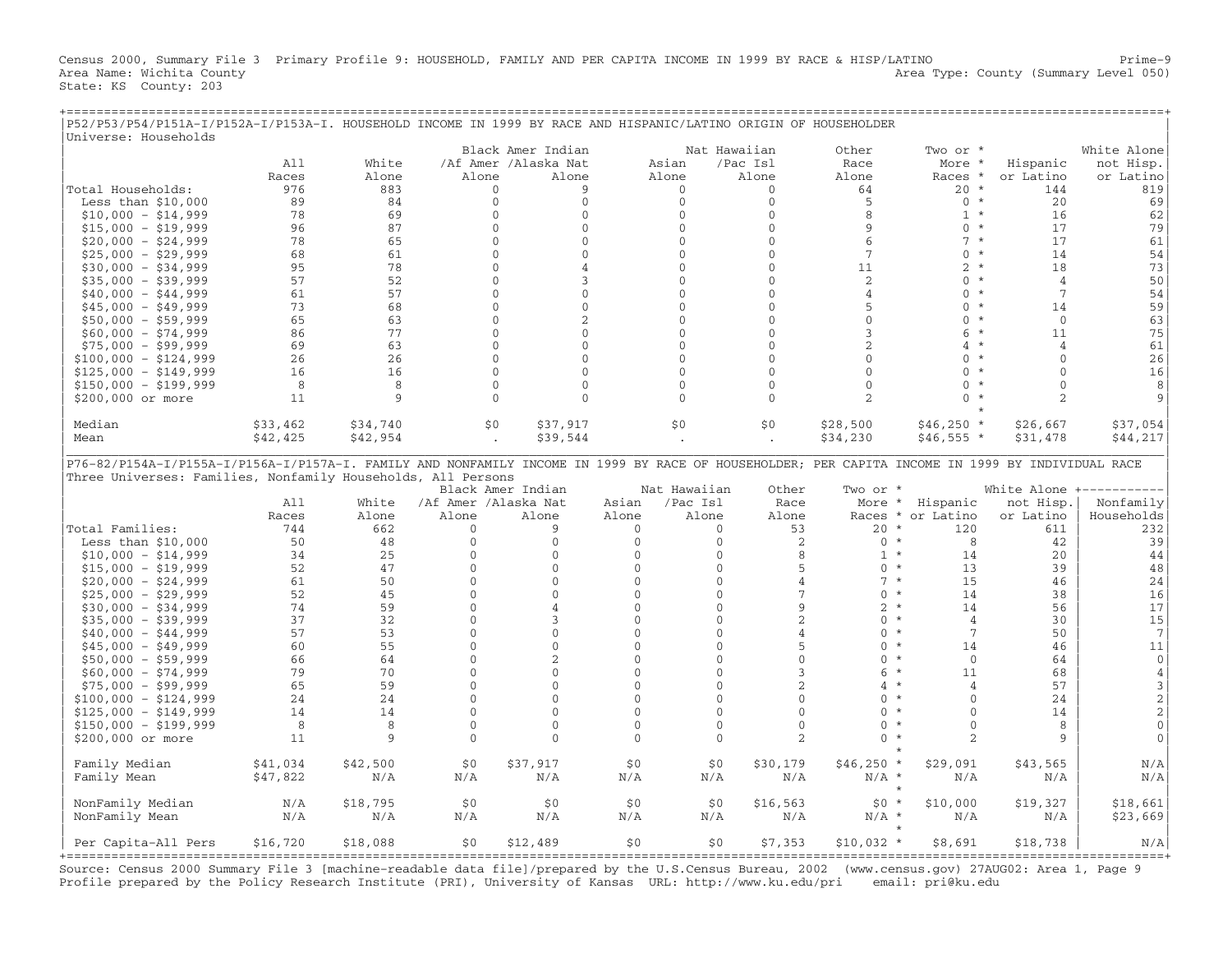Census 2000, Summary File 3 Primary Profile 9: HOUSEHOLD, FAMILY AND PER CAPITA INCOME IN 1999 BY RACE & HISP/LATINO Prime−9 Area Name: Wichita County **Area Type: County Area Type: County (Summary Level 050)** State: KS County: 203

| P52/P53/P54/P151A-I/P152A-I/P153A-I. HOUSEHOLD INCOME IN 1999 BY RACE AND HISPANIC/LATINO ORIGIN OF HOUSEHOLDER                                  |          |          |                      |                      |              |              |                |                           |                            |                 |                |
|--------------------------------------------------------------------------------------------------------------------------------------------------|----------|----------|----------------------|----------------------|--------------|--------------|----------------|---------------------------|----------------------------|-----------------|----------------|
| Universe: Households                                                                                                                             |          |          |                      |                      |              |              |                |                           |                            |                 |                |
|                                                                                                                                                  |          |          |                      | Black Amer Indian    |              |              | Nat Hawaiian   | Other                     | Two or *                   |                 | White Alone    |
|                                                                                                                                                  | A11      | White    |                      | /Af Amer /Alaska Nat |              | Asian        | /Pac Isl       | Race                      | More *                     | Hispanic        | not Hisp.      |
|                                                                                                                                                  | Races    | Alone    | Alone                | Alone                |              | Alone        | Alone          | Alone                     | Races *                    | or Latino       | or Latino      |
| Total Households:                                                                                                                                | 976      | 883      | $\Omega$             | 9                    |              | $\Omega$     | $\Omega$       | 64                        | $20 *$                     | 144             | 819            |
| Less than $$10,000$                                                                                                                              | 89       | 84       | $\mathbf 0$          | $\mathbf 0$          |              | $\mathbf 0$  | $\mathbf{0}$   | 5                         | $0 *$                      | 20              | 69             |
| $$10,000 - $14,999$                                                                                                                              | 78       | 69       | $\Omega$             | $\mathbf{0}$         |              | $\Omega$     | $\Omega$       | 8                         | $1 *$                      | 16              | 62             |
| $$15,000 - $19,999$                                                                                                                              | 96       | 87       | $\Omega$             | $\Omega$             |              | $\Omega$     | $\Omega$       | 9                         | $0 *$                      | 17              | 79             |
| $$20,000 - $24,999$                                                                                                                              | 78       | 65       | $\mathbf{0}$         | $\Omega$             |              | $\mathbf{0}$ | $\mathbf{0}$   | 6                         | $7 *$                      | 17              | 61             |
| $$25,000 - $29,999$                                                                                                                              | 68       | 61       | $\Omega$             | $\Omega$             |              | $\Omega$     | $\Omega$       | $\overline{7}$            | $0 *$                      | 14              | 54             |
| $$30,000 - $34,999$                                                                                                                              | 95       | 78       | $\Omega$             | $\Delta$             |              | $\Omega$     | $\Omega$       | 11                        | $2 *$                      | 18              | 73             |
| $$35,000 - $39,999$                                                                                                                              | 57       | 52       | $\mathbf{0}$         | 3                    |              | $\Omega$     | $\Omega$       | $\overline{2}$            | $0 *$                      | $\overline{4}$  | 50             |
| $$40,000 - $44,999$                                                                                                                              | 61       | 57       | $\Omega$             | $\Omega$             |              | $\Omega$     | $\Omega$       | 4                         | $\Omega$<br>$\star$        | $7\phantom{.0}$ | 54             |
| $$45,000 - $49,999$                                                                                                                              | 73       | 68       | $\mathbf{0}$         | $\mathbf 0$          |              | $\mathbf{0}$ | $\mathbf{0}$   | 5                         | $\mathbf{0}$<br>$\star$    | 14              | 59             |
| $$50,000 - $59,999$                                                                                                                              | 65       | 63       | $\mathbf{0}$         | 2                    |              | $\Omega$     | $\mathbf{0}$   | $\mathbf{0}$              | $0 *$                      | $\mathbf{0}$    | 63             |
|                                                                                                                                                  | 86       | 77       | $\Omega$             | $\Omega$             |              | $\Omega$     | $\Omega$       | 3                         | $\star$<br>б.              | 11              | 75             |
| $$60,000 - $74,999$                                                                                                                              |          |          |                      |                      |              |              |                |                           |                            |                 |                |
| $$75,000 - $99,999$                                                                                                                              | 69       | 63       | $\mathbf{0}$         | $\Omega$             |              | $\Omega$     | $\mathbf{0}$   | 2                         | 4<br>$\star$               | $\overline{4}$  | 61             |
| $$100,000 - $124,999$                                                                                                                            | 26       | 26       | $\Omega$             | $\mathbf{0}$         |              | $\mathbf{0}$ | $\mathbf{0}$   | $\mathbf{0}$              | $\Omega$                   | $\Omega$        | 26             |
| $$125,000 - $149,999$                                                                                                                            | 16       | 16       | $\Omega$             | $\Omega$             |              | $\Omega$     | $\Omega$       | $\Omega$                  | $\Omega$<br>$\star$        | $\Omega$        | 16             |
| $$150,000 - $199,999$                                                                                                                            | 8        | 8        | $\Omega$             | $\mathbf{0}$         |              | $\mathbf{0}$ | $\mathbf{0}$   | $\mathbf{0}$              | $\Omega$<br>$\star$        | $\Omega$        | 8              |
| \$200,000 or more                                                                                                                                | 11       | 9        | $\Omega$             | $\Omega$             |              | $\Omega$     | $\Omega$       | 2                         | $\star$<br>$\Omega$        | $\overline{a}$  | 9              |
|                                                                                                                                                  |          |          |                      |                      |              |              |                |                           |                            |                 |                |
| Median                                                                                                                                           | \$33,462 | \$34,740 | \$0                  | \$37,917             |              | \$0\$        | \$0            | \$28,500                  | $$46,250*$                 | \$26,667        | \$37,054       |
| Mean                                                                                                                                             | \$42,425 | \$42,954 |                      | \$39,544             |              |              |                | \$34,230                  | $$46,555*$                 | \$31,478        | \$44,217       |
|                                                                                                                                                  |          |          |                      |                      |              |              |                |                           |                            |                 |                |
| P76-82/P154A-I/P155A-I/P156A-I/P157A-I. FAMILY AND NONFAMILY INCOME IN 1999 BY RACE OF HOUSEHOLDER; PER CAPITA INCOME IN 1999 BY INDIVIDUAL RACE |          |          |                      |                      |              |              |                |                           |                            |                 |                |
| Three Universes: Families, Nonfamily Households, All Persons                                                                                     |          |          |                      |                      |              |              |                |                           |                            |                 |                |
|                                                                                                                                                  |          |          |                      |                      |              |              |                |                           |                            |                 |                |
|                                                                                                                                                  |          |          |                      |                      |              |              |                |                           |                            |                 |                |
|                                                                                                                                                  |          |          |                      | Black Amer Indian    |              | Nat Hawaiian | Other          | Two or *                  |                            | White Alone     |                |
|                                                                                                                                                  | A11      | White    | /Af Amer /Alaska Nat |                      | Asian        | /Pac Isl     | Race           |                           | More * Hispanic            | not Hisp.       | Nonfamily      |
|                                                                                                                                                  | Races    | Alone    | Alone                | Alone                | Alone        | Alone        | Alone          |                           | Races * or Latino          | or Latino       | Households     |
| Total Families:                                                                                                                                  | 744      | 662      | $\mathbf 0$          | 9                    | $\mathbf{0}$ | $\circ$      | 53             | $20 *$                    | 120                        | 611             | 232            |
| Less than $$10,000$                                                                                                                              | 50       | 48       | $\Omega$             | $\Omega$             | $\Omega$     | $\Omega$     | 2              | $0 *$                     | 8                          | 42              | 39             |
| $$10,000 - $14,999$                                                                                                                              | 34       | 25       | $\mathbf{0}$         | $\mathbf 0$          | $\mathbf 0$  | $\mathbf 0$  | 8              | $1 *$                     | 14                         | 20              | 44             |
| $$15,000 - $19,999$                                                                                                                              | 52       | 47       | $\mathbf{0}$         | $\mathbf{0}$         | $\mathbf{0}$ | $\mathbf{0}$ | 5              | $0 *$                     | 13                         | 39              | 48             |
| $$20,000 - $24,999$                                                                                                                              | 61       | 50       | $\Omega$             | $\Omega$             | $\Omega$     | $\Omega$     | $\overline{4}$ | $7 *$                     | 15                         | 46              | 24             |
| $$25,000 - $29,999$                                                                                                                              | 52       | 45       | $\mathbf{0}$         | $\Omega$             | $\mathbf{0}$ | $\mathbf{0}$ | 7              | $\overline{0}$<br>$\star$ | 14                         | 38              | 16             |
| $$30,000 - $34,999$                                                                                                                              | 74       | 59       | $\Omega$             | $\overline{4}$       | $\mathbf{0}$ | $\mathbf{0}$ | 9              | $2 *$                     | 14                         | 56              | 17             |
| $$35,000 - $39,999$                                                                                                                              | 37       | 32       | $\Omega$             | 3                    | $\Omega$     | $\Omega$     | $\overline{2}$ | $\Omega$<br>$\star$       | $\overline{4}$             | 30              | 15             |
| $$40,000 - $44,999$                                                                                                                              | 57       | 53       | $\mathbf{0}$         | $\Omega$             | $\mathbf{0}$ | $\mathbf{0}$ | $\overline{4}$ | $\mathbf{0}$<br>$\star$   | 7                          | 50              | 7              |
| $$45,000 - $49,999$                                                                                                                              | 60       | 55       | $\Omega$             | $\Omega$             | $\Omega$     | $\Omega$     | 5              | $\Omega$<br>$\star$       | 14                         | 46              | 11             |
| $$50,000 - $59,999$                                                                                                                              | 66       | 64       | $\Omega$             | 2                    | $\Omega$     | 0            | $\Omega$       | $\Omega$                  | $\overline{0}$<br>$\star$  | 64              | $\mathbf 0$    |
|                                                                                                                                                  | 79       | 70       | $\Omega$             | $\Omega$             | $\Omega$     | $\mathbf{0}$ | 3              | $\star$<br>6              | 11                         | 68              |                |
| $$60,000 - $74,999$                                                                                                                              |          |          | $\Omega$             | $\Omega$             | $\Omega$     | $\Omega$     |                | 4                         | $^\star$<br>$\overline{4}$ |                 | $\sqrt{4}$     |
| $$75,000 - $99,999$                                                                                                                              | 65       | 59       |                      |                      |              |              | $\overline{2}$ |                           | $\star$                    | 57              | $\mathfrak{Z}$ |
| $$100,000 - $124,999$                                                                                                                            | 24       | 24       | $\Omega$             | $\mathbf{0}$         | $\mathbf{0}$ | 0            | $\Omega$       | 0                         | $\mathbf{0}$<br>$^\star$   | 24              | $\overline{2}$ |
| $$125,000 - $149,999$                                                                                                                            | 14       | 14       | $\Omega$             | $\Omega$             | $\Omega$     | $\mathbf{0}$ | $\Omega$       | $\Omega$                  | $\Omega$<br>$\star$        | 14              | $\overline{c}$ |
| $$150,000 - $199,999$                                                                                                                            | 8        | 8        | $\mathbf{0}$         | $\mathbf{0}$         | $\mathbf{0}$ | $\mathbf{0}$ | $\Omega$       | $\Omega$                  | $\mathbf 0$                | 8               | $\mathbf{0}$   |
| \$200,000 or more                                                                                                                                | 11       | 9        | $\Omega$             | $\Omega$             | $\Omega$     | $\mathbf{0}$ | $\overline{2}$ | $\star$<br>$\Omega$       | $\overline{c}$             | 9               | $\Omega$       |
|                                                                                                                                                  |          |          |                      |                      |              |              |                |                           |                            |                 |                |
| Family Median                                                                                                                                    | \$41,034 | \$42,500 | \$0                  | \$37,917             | \$0          | \$0          | \$30,179       | $$46,250$ *               | \$29,091                   | \$43,565        | N/A            |
| Family Mean                                                                                                                                      | \$47,822 | N/A      | N/A                  | N/A                  | N/A          | N/A          | N/A            | $N/A$ *                   | N/A                        | N/A             | N/A            |
|                                                                                                                                                  |          |          |                      |                      |              |              |                |                           | $\star$                    |                 |                |
| NonFamily Median                                                                                                                                 | N/A      | \$18,795 | \$0                  | \$0                  | \$0          | \$0          | \$16,563       | $$0*$                     | \$10,000                   | \$19,327        | \$18,661       |
| NonFamily Mean                                                                                                                                   | N/A      | N/A      | N/A                  | N/A                  | N/A          | N/A          | N/A            | $N/A$ *                   | N/A                        | N/A             | \$23,669       |
| Per Capita-All Pers                                                                                                                              | \$16,720 | \$18,088 | \$0                  | \$12,489             | \$0          | \$0          | \$7,353        | $$10,032$ *               | \$8,691                    | \$18,738        | N/A            |

+===================================================================================================================================================+ Source: Census 2000 Summary File 3 [machine−readable data file]/prepared by the U.S.Census Bureau, 2002 (www.census.gov) 27AUG02: Area 1, Page 9 Profile prepared by the Policy Research Institute (PRI), University of Kansas URL: http://www.ku.edu/pri email: pri@ku.edu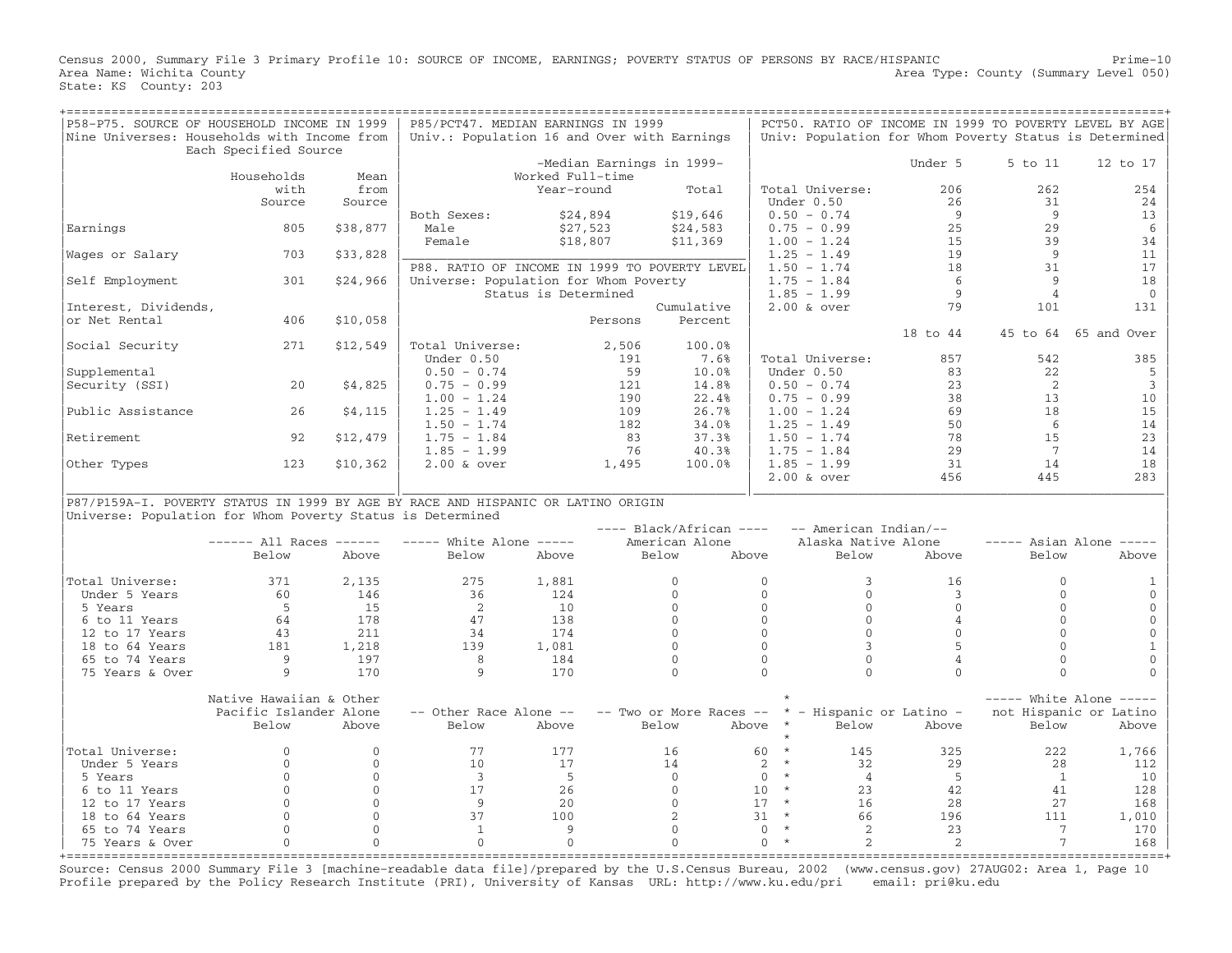Census 2000, Summary File 3 Primary Profile 10: SOURCE OF INCOME, EARNINGS; POVERTY STATUS OF PERSONS BY RACE/HISPANIC Prime−10<br>Area Name: Wichita County 1evel 050) Area Type: County (Summary Level 050) State: KS County: 203

| P58-P75. SOURCE OF HOUSEHOLD INCOME IN 1999<br>Nine Universes: Households with Income from |                                                   | P85/PCT47. MEDIAN EARNINGS IN 1999<br>Univ.: Population 16 and Over with Earnings |                                                                                        |                      |                 |                              | PCT50. RATIO OF INCOME IN 1999 TO POVERTY LEVEL BY AGE<br>Univ: Population for Whom Poverty Status is Determined |                                                 |                            |                           |                                                   |
|--------------------------------------------------------------------------------------------|---------------------------------------------------|-----------------------------------------------------------------------------------|----------------------------------------------------------------------------------------|----------------------|-----------------|------------------------------|------------------------------------------------------------------------------------------------------------------|-------------------------------------------------|----------------------------|---------------------------|---------------------------------------------------|
|                                                                                            | Each Specified Source<br>Households               | Mean                                                                              |                                                                                        | Worked Full-time     |                 | -Median Earnings in 1999-    |                                                                                                                  |                                                 | Under 5                    | 5 to 11                   | 12 to 17                                          |
|                                                                                            | with<br>Source                                    | from<br>Source                                                                    |                                                                                        | Year-round           |                 | Total                        |                                                                                                                  | Total Universe:<br>Under 0.50                   | 206<br>26                  | 262<br>31                 | 254<br>24                                         |
| Earnings                                                                                   | 805                                               | \$38,877                                                                          | Both Sexes:<br>Male                                                                    | \$24,894<br>\$27,523 |                 | \$19,646<br>\$24,583         |                                                                                                                  | $0.50 - 0.74$<br>$0.75 - 0.99$                  | 9<br>25                    | 9<br>29                   | 13<br>6                                           |
| Wages or Salary                                                                            | 703                                               | \$33,828                                                                          | Female                                                                                 | \$18,807             |                 | \$11,369                     |                                                                                                                  | $1.00 - 1.24$<br>$1.25 - 1.49$                  | 15<br>19                   | 39<br>- 9                 | 34<br>11                                          |
| Self Employment                                                                            | 301                                               | \$24,966                                                                          | P88. RATIO OF INCOME IN 1999 TO POVERTY LEVEL<br>Universe: Population for Whom Poverty |                      |                 |                              |                                                                                                                  | $1.50 - 1.74$<br>$1.75 - 1.84$<br>$1.85 - 1.99$ | 18<br>6<br>9               | 31<br>9<br>$\overline{4}$ | 17<br>18<br>$\mathbf{0}$                          |
| Interest, Dividends,                                                                       |                                                   |                                                                                   |                                                                                        | Status is Determined |                 | Cumulative                   |                                                                                                                  | $2.00$ & over                                   | 79                         | 101                       | 131                                               |
| or Net Rental                                                                              | 406                                               | \$10,058                                                                          |                                                                                        |                      | Persons         | Percent                      |                                                                                                                  |                                                 | 18 to 44                   |                           | 45 to 64 65 and Over                              |
| Social Security                                                                            | 271                                               | \$12,549                                                                          | Total Universe:<br>Under 0.50                                                          |                      | 2,506<br>191    | 100.0%<br>7.6%               |                                                                                                                  | Total Universe:                                 | 857                        | 542                       | 385                                               |
| Supplemental<br>Security (SSI)                                                             | 20                                                | \$4,825                                                                           | $0.50 - 0.74$<br>$0.75 - 0.99$                                                         |                      | 59<br>121       | 10.0%<br>14.8%               |                                                                                                                  | Under 0.50<br>$0.50 - 0.74$                     | 83<br>23                   | 22<br>2                   | 5<br>$\overline{3}$                               |
| Public Assistance                                                                          | 26                                                | \$4,115                                                                           | $1.00 - 1.24$<br>$1.25 - 1.49$                                                         |                      | 190<br>109      | 22.4%<br>26.7%               |                                                                                                                  | $0.75 - 0.99$<br>$1.00 - 1.24$                  | 38<br>69                   | 13<br>18                  | 10<br>15                                          |
| Retirement                                                                                 | 92                                                | \$12,479                                                                          | $1.50 - 1.74$<br>$1.75 - 1.84$<br>$1.85 - 1.99$                                        |                      | 182<br>83<br>76 | 34.0%<br>37.3%<br>40.3%      |                                                                                                                  | $1.25 - 1.49$<br>$1.50 - 1.74$<br>$1.75 - 1.84$ | 50<br>78<br>29             | 6<br>15<br>7              | 14<br>23<br>14                                    |
| Other Types                                                                                | 123                                               | \$10,362                                                                          | $2.00$ & over                                                                          |                      | 1,495           | 100.0%                       |                                                                                                                  | $1.85 - 1.99$<br>$2.00$ & over                  | 31<br>456                  | 14<br>445                 | 18<br>283                                         |
| P87/P159A-I. POVERTY STATUS IN 1999 BY AGE BY RACE AND HISPANIC OR LATINO ORIGIN           |                                                   |                                                                                   |                                                                                        |                      |                 |                              |                                                                                                                  |                                                 |                            |                           |                                                   |
| Universe: Population for Whom Poverty Status is Determined                                 |                                                   |                                                                                   |                                                                                        |                      |                 | $---$ Black/African $---$    |                                                                                                                  | -- American Indian/--                           |                            |                           |                                                   |
|                                                                                            | $----$ All Races $----$<br>Below                  | Above                                                                             | $---$ White Alone $---$<br>Below                                                       | Above                |                 | American Alone<br>Below      | Above                                                                                                            | Alaska Native Alone<br>Below                    | Above                      | Below                     | $---$ Asian Alone $---$<br>Above                  |
| Total Universe:<br>Under 5 Years                                                           | 371<br>60                                         | 2,135<br>146                                                                      | 275<br>36                                                                              | 1,881<br>124         |                 | $\mathbf{0}$<br>$\Omega$     | $\mathbf{0}$<br>$\Omega$                                                                                         | 3<br>$\Omega$                                   | 16<br>$\mathbf{3}$         | $\Omega$<br>$\cap$        | $\Omega$                                          |
| 5 Years                                                                                    | -5<br>64                                          | 15<br>178                                                                         | 2<br>47                                                                                | 10<br>138            |                 | $\mathbf{0}$<br>$\Omega$     | $\mathbf{O}$<br>$\mathsf{O}\xspace$                                                                              | $\mathbf{0}$<br>$\mathbf 0$                     | $\Omega$<br>$\overline{4}$ | $\Omega$<br>$\Omega$      | $\mathbf{0}$<br>$\Omega$                          |
| 6 to 11 Years<br>12 to 17 Years                                                            | 43                                                | 211                                                                               | 34                                                                                     | 174                  |                 | $\Omega$                     | $\Omega$<br>$\mathbf 0$                                                                                          | $\Omega$                                        | $\Omega$                   | $\Omega$<br>$\cap$        | $\Omega$                                          |
| 18 to 64 Years<br>65 to 74 Years                                                           | 181<br>9                                          | 1,218<br>197                                                                      | 139<br>8                                                                               | 1,081<br>184         |                 | $\mathbf{O}$<br>$\mathbf{0}$ | $\mathbf{0}$                                                                                                     | $\mathbf{3}$<br>$\mathbf{0}$                    | 5<br>$\overline{4}$        | $\Omega$                  | $\mathbf{1}$<br>$\mathbf{0}$                      |
| 75 Years & Over                                                                            | 9                                                 | 170                                                                               | 9                                                                                      | 170                  |                 | $\Omega$                     | $\Omega$                                                                                                         | $\Omega$                                        | $\Omega$                   | $\Omega$                  | $\Omega$                                          |
|                                                                                            | Native Hawaiian & Other<br>Pacific Islander Alone |                                                                                   | -- Other Race Alone --                                                                 |                      |                 | -- Two or More Races --      |                                                                                                                  | * - Hispanic or Latino -                        |                            |                           | $---$ White Alone $---$<br>not Hispanic or Latino |
|                                                                                            | Below                                             | Above                                                                             | Below                                                                                  | Above                |                 | Below                        | Above                                                                                                            | $\star$<br>Below                                | Above                      | Below                     | Above                                             |
| Total Universe:<br>Under 5 Years                                                           | $\Omega$<br>$\Omega$                              | $\mathbf{0}$<br>$\mathbf{0}$                                                      | 77<br>10                                                                               | 177<br>17            |                 | 16<br>14                     | 60<br>2                                                                                                          | $\star$<br>145<br>$\star$<br>32                 | 325<br>29                  | 222<br>28                 | 1,766<br>112                                      |
| 5 Years<br>6 to 11 Years                                                                   | $\Omega$<br>$\mathbf{0}$                          | $\mathbf{0}$<br>$\mathbf 0$                                                       | $\overline{3}$<br>17                                                                   | - 5<br>26            |                 | $\overline{0}$<br>$\circ$    | $\mathbf{0}$<br>10                                                                                               | $\star$<br>$\overline{4}$<br>$\star$<br>23      | - 5<br>42                  | $\overline{1}$<br>41      | 10<br>128                                         |
| 12 to 17 Years<br>18 to 64 Years                                                           | $\Omega$<br>$\Omega$                              | $\Omega$<br>$\mathbf 0$                                                           | -9<br>37                                                                               | 2.0<br>100           |                 | $\Omega$<br>2                | 17<br>31                                                                                                         | $\;\;\star$<br>16<br>$\star$<br>66              | 28<br>196                  | 27<br>111                 | 168<br>1,010                                      |
| 65 to 74 Years<br>75 Years & Over<br>+ = = = = = = = = = = = = = = =                       | $\Omega$<br>$\Omega$                              | $\mathsf{O}\xspace$<br>$\Omega$                                                   | $\mathbf{1}$<br>$\mathbf{0}$                                                           | 9<br>$\Omega$        |                 | $\Omega$<br>$\Omega$         | $\Omega$<br>$\Omega$                                                                                             | $\star$<br>$\overline{2}$<br>$\star$<br>2       | 23<br>2                    | 7<br>7                    | 170<br>168                                        |

Source: Census 2000 Summary File 3 [machine−readable data file]/prepared by the U.S.Census Bureau, 2002 (www.census.gov) 27AUG02: Area 1, Page 10 Profile prepared by the Policy Research Institute (PRI), University of Kansas URL: http://www.ku.edu/pri email: pri@ku.edu